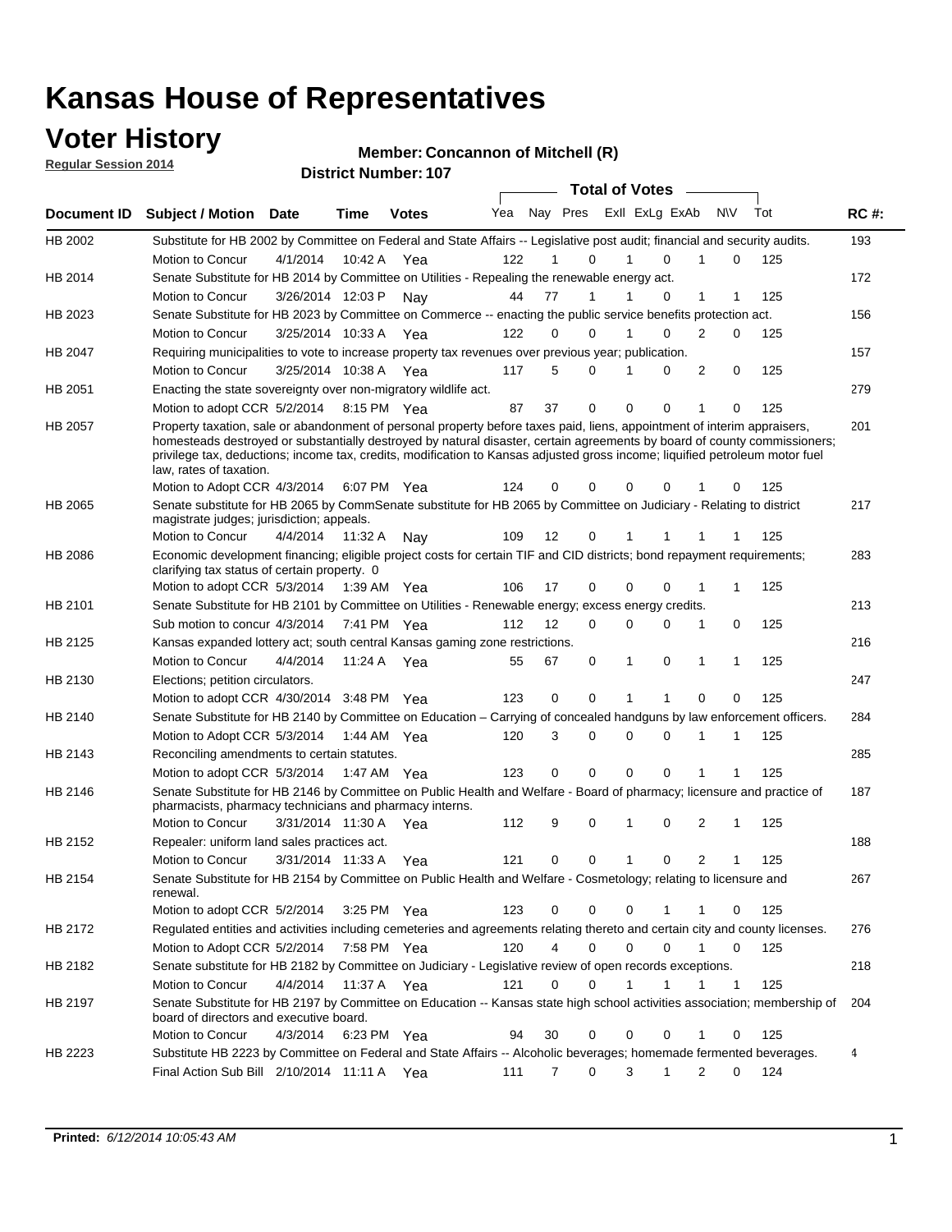### **Voter History**

**Regular Session 2014**

#### **Member: Concannon of Mitchell (R)**

|         |                                                                                                                                                                                                                                                                                                                                                                                                                  |          |                      |              |     |                | <b>Total of Votes</b> |                |             |                |             |     |             |
|---------|------------------------------------------------------------------------------------------------------------------------------------------------------------------------------------------------------------------------------------------------------------------------------------------------------------------------------------------------------------------------------------------------------------------|----------|----------------------|--------------|-----|----------------|-----------------------|----------------|-------------|----------------|-------------|-----|-------------|
|         | Document ID Subject / Motion Date                                                                                                                                                                                                                                                                                                                                                                                |          | Time                 | <b>Votes</b> | Yea | Nay Pres       |                       | Exll ExLg ExAb |             |                | N\V         | Tot | <b>RC#:</b> |
| HB 2002 | Substitute for HB 2002 by Committee on Federal and State Affairs -- Legislative post audit; financial and security audits.                                                                                                                                                                                                                                                                                       |          |                      |              |     |                |                       |                |             |                |             |     | 193         |
|         | Motion to Concur                                                                                                                                                                                                                                                                                                                                                                                                 | 4/1/2014 | 10:42 A              | Yea          | 122 | 1              | 0                     | 1              | 0           | 1              | 0           | 125 |             |
| HB 2014 | Senate Substitute for HB 2014 by Committee on Utilities - Repealing the renewable energy act.                                                                                                                                                                                                                                                                                                                    |          |                      |              |     |                |                       |                |             |                |             |     | 172         |
|         | Motion to Concur                                                                                                                                                                                                                                                                                                                                                                                                 |          | 3/26/2014 12:03 P    | Nav          | 44  | 77             | 1                     |                | 0           | 1              | 1           | 125 |             |
| HB 2023 | Senate Substitute for HB 2023 by Committee on Commerce -- enacting the public service benefits protection act.                                                                                                                                                                                                                                                                                                   |          |                      |              |     |                |                       |                |             |                |             |     | 156         |
|         | Motion to Concur                                                                                                                                                                                                                                                                                                                                                                                                 |          | 3/25/2014 10:33 A    | Yea          | 122 | 0              | 0                     |                | 0           | 2              | 0           | 125 |             |
| HB 2047 | Requiring municipalities to vote to increase property tax revenues over previous year; publication.                                                                                                                                                                                                                                                                                                              |          |                      |              |     |                |                       |                |             |                |             |     | 157         |
|         | Motion to Concur                                                                                                                                                                                                                                                                                                                                                                                                 |          | 3/25/2014 10:38 A    | Yea          | 117 | 5              | 0                     |                | 0           | 2              | 0           | 125 |             |
| HB 2051 | Enacting the state sovereignty over non-migratory wildlife act.                                                                                                                                                                                                                                                                                                                                                  |          |                      |              |     |                |                       |                |             |                |             |     | 279         |
|         | Motion to adopt CCR 5/2/2014 8:15 PM Yea                                                                                                                                                                                                                                                                                                                                                                         |          |                      |              | 87  | 37             | 0                     | $\mathbf 0$    | 0           | 1              | 0           | 125 |             |
| HB 2057 | Property taxation, sale or abandonment of personal property before taxes paid, liens, appointment of interim appraisers,<br>homesteads destroyed or substantially destroyed by natural disaster, certain agreements by board of county commissioners;<br>privilege tax, deductions; income tax, credits, modification to Kansas adjusted gross income; liquified petroleum motor fuel<br>law, rates of taxation. |          |                      |              |     |                |                       |                |             |                |             |     | 201         |
|         | Motion to Adopt CCR 4/3/2014                                                                                                                                                                                                                                                                                                                                                                                     |          |                      | 6:07 PM Yea  | 124 | 0              | 0                     | 0              | 0           | 1              | 0           | 125 |             |
| HB 2065 | Senate substitute for HB 2065 by CommSenate substitute for HB 2065 by Committee on Judiciary - Relating to district<br>magistrate judges; jurisdiction; appeals.                                                                                                                                                                                                                                                 |          |                      |              |     |                |                       |                |             |                |             |     | 217         |
|         | Motion to Concur                                                                                                                                                                                                                                                                                                                                                                                                 |          | 4/4/2014 11:32 A     | Nav          | 109 | 12             | 0                     |                |             |                |             | 125 |             |
| HB 2086 | Economic development financing; eligible project costs for certain TIF and CID districts; bond repayment requirements;<br>clarifying tax status of certain property. 0                                                                                                                                                                                                                                           |          |                      |              |     |                |                       |                |             |                |             |     | 283         |
|         | Motion to adopt CCR 5/3/2014 1:39 AM Yea                                                                                                                                                                                                                                                                                                                                                                         |          |                      |              | 106 | 17             | 0                     | 0              | 0           |                | 1           | 125 |             |
| HB 2101 | Senate Substitute for HB 2101 by Committee on Utilities - Renewable energy; excess energy credits.                                                                                                                                                                                                                                                                                                               |          |                      |              |     |                |                       |                |             |                |             |     | 213         |
|         | Sub motion to concur 4/3/2014 7:41 PM Yea                                                                                                                                                                                                                                                                                                                                                                        |          |                      |              | 112 | 12             | 0                     | 0              | 0           | 1              | 0           | 125 |             |
| HB 2125 | Kansas expanded lottery act; south central Kansas gaming zone restrictions.                                                                                                                                                                                                                                                                                                                                      |          |                      |              |     |                |                       |                |             |                |             |     | 216         |
|         | Motion to Concur                                                                                                                                                                                                                                                                                                                                                                                                 | 4/4/2014 |                      | 11:24 A Yea  | 55  | 67             | 0                     | 1              | $\mathbf 0$ | 1              | $\mathbf 1$ | 125 |             |
| HB 2130 | Elections; petition circulators.                                                                                                                                                                                                                                                                                                                                                                                 |          |                      |              |     |                |                       |                |             |                |             |     | 247         |
|         | Motion to adopt CCR 4/30/2014 3:48 PM Yea                                                                                                                                                                                                                                                                                                                                                                        |          |                      |              | 123 | 0              | 0                     | 1              | 1           | $\mathbf 0$    | 0           | 125 |             |
| HB 2140 | Senate Substitute for HB 2140 by Committee on Education – Carrying of concealed handguns by law enforcement officers.                                                                                                                                                                                                                                                                                            |          |                      |              |     |                |                       |                |             |                |             |     | 284         |
|         | Motion to Adopt CCR 5/3/2014                                                                                                                                                                                                                                                                                                                                                                                     |          |                      | 1:44 AM Yea  | 120 | 3              | 0                     | 0              | 0           | 1              | 1           | 125 |             |
| HB 2143 | Reconciling amendments to certain statutes.                                                                                                                                                                                                                                                                                                                                                                      |          |                      |              |     |                |                       |                |             |                |             |     | 285         |
|         | Motion to adopt CCR 5/3/2014 1:47 AM Yea                                                                                                                                                                                                                                                                                                                                                                         |          |                      |              | 123 | 0              | 0                     | 0              | 0           | 1              | 1           | 125 |             |
| HB 2146 | Senate Substitute for HB 2146 by Committee on Public Health and Welfare - Board of pharmacy; licensure and practice of<br>pharmacists, pharmacy technicians and pharmacy interns.                                                                                                                                                                                                                                |          |                      |              |     |                |                       |                |             |                |             |     | 187         |
|         | Motion to Concur                                                                                                                                                                                                                                                                                                                                                                                                 |          | 3/31/2014 11:30 A    | Yea          | 112 | 9              | 0                     | 1              | 0           | 2              | 1           | 125 |             |
| HB 2152 | Repealer: uniform land sales practices act.                                                                                                                                                                                                                                                                                                                                                                      |          |                      |              |     |                |                       |                |             |                |             |     | 188         |
|         | Motion to Concur                                                                                                                                                                                                                                                                                                                                                                                                 |          | 3/31/2014 11:33 A    | Yea          | 121 | 0              | 0                     | 1              | 0           | $\overline{2}$ |             | 125 |             |
| HB 2154 | Senate Substitute for HB 2154 by Committee on Public Health and Welfare - Cosmetology; relating to licensure and<br>renewal.                                                                                                                                                                                                                                                                                     |          |                      |              |     |                |                       |                |             |                |             |     | 267         |
|         | Motion to adopt CCR 5/2/2014 3:25 PM Yea                                                                                                                                                                                                                                                                                                                                                                         |          |                      |              | 123 | 0              | 0                     | 0              | 1           | -1             | 0           | 125 |             |
| HB 2172 | Regulated entities and activities including cemeteries and agreements relating thereto and certain city and county licenses.                                                                                                                                                                                                                                                                                     |          |                      |              |     |                |                       |                |             |                |             |     | 276         |
|         | Motion to Adopt CCR 5/2/2014 7:58 PM Yea                                                                                                                                                                                                                                                                                                                                                                         |          |                      |              | 120 | 4              | $\Omega$              | $\Omega$       | 0           |                | 0           | 125 |             |
| HB 2182 | Senate substitute for HB 2182 by Committee on Judiciary - Legislative review of open records exceptions.                                                                                                                                                                                                                                                                                                         |          |                      |              |     |                |                       |                |             |                |             |     | 218         |
|         | Motion to Concur                                                                                                                                                                                                                                                                                                                                                                                                 |          | 4/4/2014 11:37 A Yea |              | 121 | 0              | 0                     |                | 1           | 1              | $\mathbf 1$ | 125 |             |
| HB 2197 | Senate Substitute for HB 2197 by Committee on Education -- Kansas state high school activities association; membership of<br>board of directors and executive board.                                                                                                                                                                                                                                             |          |                      |              |     |                |                       |                |             |                |             |     | 204         |
|         | Motion to Concur                                                                                                                                                                                                                                                                                                                                                                                                 | 4/3/2014 |                      | 6:23 PM Yea  | 94  | 30             | 0                     | 0              | 0           | 1              | 0           | 125 |             |
| HB 2223 | Substitute HB 2223 by Committee on Federal and State Affairs -- Alcoholic beverages; homemade fermented beverages.                                                                                                                                                                                                                                                                                               |          |                      |              |     |                |                       |                |             |                |             |     | 4           |
|         | Final Action Sub Bill 2/10/2014 11:11 A Yea                                                                                                                                                                                                                                                                                                                                                                      |          |                      |              | 111 | $\overline{7}$ | 0                     | 3              | 1           | 2              | 0           | 124 |             |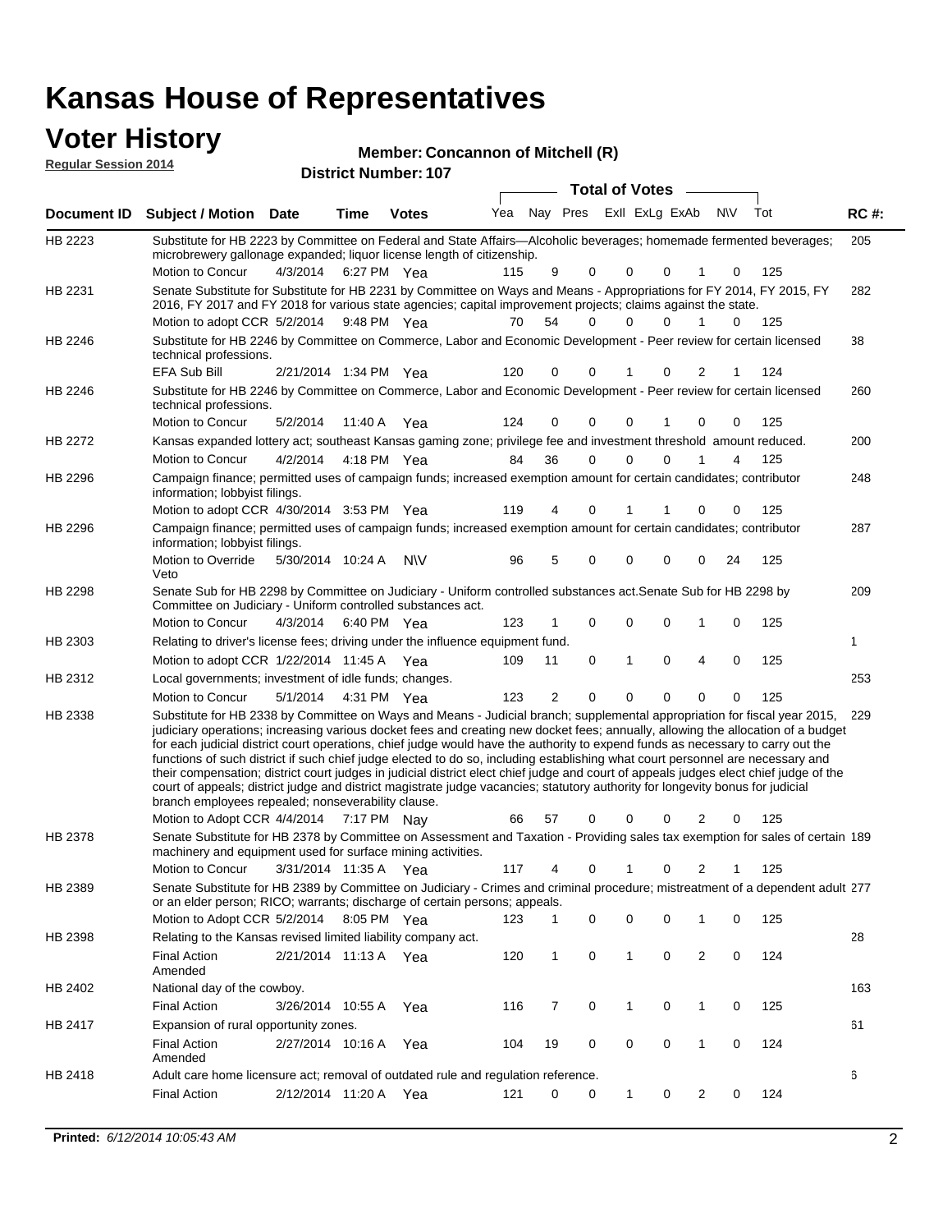### **Voter History**

**Regular Session 2014**

#### **Member: Concannon of Mitchell (R)**

| <b>District Number: 107</b> |  |
|-----------------------------|--|
|                             |  |

|                |                                                                                                                                                                                                                                                                                                                                                                                                                                                                                                                                                                                                                                                                                                                                                                                                                                                                                                                 |                       |             | <b>DISUILLINUIIINGI.</b> IVI |     |                | Total of Votes __           |   |               |                |     |     |             |
|----------------|-----------------------------------------------------------------------------------------------------------------------------------------------------------------------------------------------------------------------------------------------------------------------------------------------------------------------------------------------------------------------------------------------------------------------------------------------------------------------------------------------------------------------------------------------------------------------------------------------------------------------------------------------------------------------------------------------------------------------------------------------------------------------------------------------------------------------------------------------------------------------------------------------------------------|-----------------------|-------------|------------------------------|-----|----------------|-----------------------------|---|---------------|----------------|-----|-----|-------------|
| Document ID    | <b>Subject / Motion Date</b>                                                                                                                                                                                                                                                                                                                                                                                                                                                                                                                                                                                                                                                                                                                                                                                                                                                                                    |                       | <b>Time</b> | <b>Votes</b>                 |     |                | Yea Nay Pres ExII ExLg ExAb |   |               |                | N\V | Tot | <b>RC#:</b> |
| HB 2223        | Substitute for HB 2223 by Committee on Federal and State Affairs—Alcoholic beverages; homemade fermented beverages;<br>microbrewery gallonage expanded; liquor license length of citizenship.<br>Motion to Concur                                                                                                                                                                                                                                                                                                                                                                                                                                                                                                                                                                                                                                                                                               | 4/3/2014              | 6:27 PM Yea |                              | 115 | 9              | 0                           | 0 | $\Omega$      |                | 0   | 125 | 205         |
| HB 2231        | Senate Substitute for Substitute for HB 2231 by Committee on Ways and Means - Appropriations for FY 2014, FY 2015, FY<br>2016, FY 2017 and FY 2018 for various state agencies; capital improvement projects; claims against the state.                                                                                                                                                                                                                                                                                                                                                                                                                                                                                                                                                                                                                                                                          |                       |             |                              |     |                | $\Omega$                    |   | $\Omega$      | $\mathbf{1}$   |     |     | 282         |
| HB 2246        | Motion to adopt CCR 5/2/2014 9:48 PM Yea<br>Substitute for HB 2246 by Committee on Commerce, Labor and Economic Development - Peer review for certain licensed<br>technical professions.                                                                                                                                                                                                                                                                                                                                                                                                                                                                                                                                                                                                                                                                                                                        |                       |             |                              | 70  | 54             |                             | 0 |               |                | 0   | 125 | 38          |
|                | EFA Sub Bill                                                                                                                                                                                                                                                                                                                                                                                                                                                                                                                                                                                                                                                                                                                                                                                                                                                                                                    | 2/21/2014 1:34 PM Yea |             |                              | 120 | 0              | 0                           | 1 | 0             | 2              | 1   | 124 |             |
| HB 2246        | Substitute for HB 2246 by Committee on Commerce, Labor and Economic Development - Peer review for certain licensed<br>technical professions.                                                                                                                                                                                                                                                                                                                                                                                                                                                                                                                                                                                                                                                                                                                                                                    |                       |             |                              |     |                |                             |   |               |                |     |     | 260         |
|                | Motion to Concur                                                                                                                                                                                                                                                                                                                                                                                                                                                                                                                                                                                                                                                                                                                                                                                                                                                                                                | 5/2/2014              | 11:40 A     | Yea                          | 124 | 0              | 0                           | 0 |               | 0              | 0   | 125 |             |
| HB 2272        | Kansas expanded lottery act; southeast Kansas gaming zone; privilege fee and investment threshold amount reduced.                                                                                                                                                                                                                                                                                                                                                                                                                                                                                                                                                                                                                                                                                                                                                                                               |                       |             |                              |     |                |                             |   |               |                |     |     | 200         |
|                | Motion to Concur                                                                                                                                                                                                                                                                                                                                                                                                                                                                                                                                                                                                                                                                                                                                                                                                                                                                                                | 4/2/2014              | 4:18 PM Yea |                              | 84  | 36             | 0                           | 0 | $\mathbf 0$   |                | 4   | 125 |             |
| HB 2296        | Campaign finance; permitted uses of campaign funds; increased exemption amount for certain candidates; contributor<br>information; lobbyist filings.                                                                                                                                                                                                                                                                                                                                                                                                                                                                                                                                                                                                                                                                                                                                                            |                       |             |                              |     | 4              | 0                           | 1 |               |                |     |     | 248         |
| HB 2296        | Motion to adopt CCR 4/30/2014 3:53 PM Yea<br>Campaign finance; permitted uses of campaign funds; increased exemption amount for certain candidates; contributor                                                                                                                                                                                                                                                                                                                                                                                                                                                                                                                                                                                                                                                                                                                                                 |                       |             |                              | 119 |                |                             |   |               | 0              | 0   | 125 | 287         |
|                | information; lobbyist filings.<br>Motion to Override                                                                                                                                                                                                                                                                                                                                                                                                                                                                                                                                                                                                                                                                                                                                                                                                                                                            | 5/30/2014 10:24 A     |             | <b>NV</b>                    | 96  | 5              | 0                           | 0 | 0             | 0              | 24  | 125 |             |
| <b>HB 2298</b> | Veto<br>Senate Sub for HB 2298 by Committee on Judiciary - Uniform controlled substances act. Senate Sub for HB 2298 by<br>Committee on Judiciary - Uniform controlled substances act.                                                                                                                                                                                                                                                                                                                                                                                                                                                                                                                                                                                                                                                                                                                          |                       |             |                              |     |                |                             |   |               |                |     |     | 209         |
|                | Motion to Concur                                                                                                                                                                                                                                                                                                                                                                                                                                                                                                                                                                                                                                                                                                                                                                                                                                                                                                | 4/3/2014              | 6:40 PM Yea |                              | 123 | 1              | 0                           | 0 | 0             | 1              | 0   | 125 |             |
| HB 2303        | Relating to driver's license fees; driving under the influence equipment fund.                                                                                                                                                                                                                                                                                                                                                                                                                                                                                                                                                                                                                                                                                                                                                                                                                                  |                       |             |                              |     |                |                             |   |               |                |     |     | 1           |
|                | Motion to adopt CCR $1/22/2014$ 11:45 A Yea                                                                                                                                                                                                                                                                                                                                                                                                                                                                                                                                                                                                                                                                                                                                                                                                                                                                     |                       |             |                              | 109 | 11             | 0                           | 1 | 0             | 4              | 0   | 125 |             |
| HB 2312        | Local governments; investment of idle funds; changes.                                                                                                                                                                                                                                                                                                                                                                                                                                                                                                                                                                                                                                                                                                                                                                                                                                                           |                       |             |                              |     |                |                             |   |               |                |     |     | 253         |
|                | Motion to Concur                                                                                                                                                                                                                                                                                                                                                                                                                                                                                                                                                                                                                                                                                                                                                                                                                                                                                                | 5/1/2014              | 4:31 PM Yea |                              | 123 | $\overline{2}$ | 0                           | 0 | 0             | 0              | 0   | 125 |             |
| HB 2338        | Substitute for HB 2338 by Committee on Ways and Means - Judicial branch; supplemental appropriation for fiscal year 2015,<br>judiciary operations; increasing various docket fees and creating new docket fees; annually, allowing the allocation of a budget<br>for each judicial district court operations, chief judge would have the authority to expend funds as necessary to carry out the<br>functions of such district if such chief judge elected to do so, including establishing what court personnel are necessary and<br>their compensation; district court judges in judicial district elect chief judge and court of appeals judges elect chief judge of the<br>court of appeals; district judge and district magistrate judge vacancies; statutory authority for longevity bonus for judicial<br>branch employees repealed; nonseverability clause.<br>Motion to Adopt CCR 4/4/2014 7:17 PM Nay |                       |             |                              | 66  | 57             | 0                           | 0 | 0             | 2              | 0   | 125 | 229         |
| HB 2378        | Senate Substitute for HB 2378 by Committee on Assessment and Taxation - Providing sales tax exemption for sales of certain 189                                                                                                                                                                                                                                                                                                                                                                                                                                                                                                                                                                                                                                                                                                                                                                                  |                       |             |                              |     |                |                             |   |               |                |     |     |             |
|                | machinery and equipment used for surface mining activities.<br>Motion to Concur 3/31/2014 11:35 A Yea                                                                                                                                                                                                                                                                                                                                                                                                                                                                                                                                                                                                                                                                                                                                                                                                           |                       |             |                              |     | 117 4          |                             |   | 0 1 0 2 1 125 |                |     |     |             |
| HB 2389        | Senate Substitute for HB 2389 by Committee on Judiciary - Crimes and criminal procedure; mistreatment of a dependent adult 277                                                                                                                                                                                                                                                                                                                                                                                                                                                                                                                                                                                                                                                                                                                                                                                  |                       |             |                              |     |                |                             |   |               |                |     |     |             |
|                | or an elder person; RICO; warrants; discharge of certain persons; appeals.<br>Motion to Adopt CCR 5/2/2014 8:05 PM Yea                                                                                                                                                                                                                                                                                                                                                                                                                                                                                                                                                                                                                                                                                                                                                                                          |                       |             |                              | 123 | $\mathbf{1}$   | 0                           | 0 | 0             | 1              | 0   | 125 |             |
| HB 2398        | Relating to the Kansas revised limited liability company act.                                                                                                                                                                                                                                                                                                                                                                                                                                                                                                                                                                                                                                                                                                                                                                                                                                                   |                       |             |                              |     |                |                             |   |               |                |     |     | 28          |
|                | <b>Final Action</b><br>Amended                                                                                                                                                                                                                                                                                                                                                                                                                                                                                                                                                                                                                                                                                                                                                                                                                                                                                  | 2/21/2014 11:13 A Yea |             |                              | 120 | $\mathbf 1$    | $\mathsf 0$                 | 1 | 0             | $\overline{c}$ | 0   | 124 |             |
| HB 2402        | National day of the cowboy.                                                                                                                                                                                                                                                                                                                                                                                                                                                                                                                                                                                                                                                                                                                                                                                                                                                                                     |                       |             |                              |     |                |                             |   |               |                |     |     | 163         |
|                | <b>Final Action</b>                                                                                                                                                                                                                                                                                                                                                                                                                                                                                                                                                                                                                                                                                                                                                                                                                                                                                             | 3/26/2014 10:55 A     |             | Yea                          | 116 | 7              | $\mathbf 0$                 | 1 | 0             | $\mathbf{1}$   | 0   | 125 |             |
| HB 2417        | Expansion of rural opportunity zones.                                                                                                                                                                                                                                                                                                                                                                                                                                                                                                                                                                                                                                                                                                                                                                                                                                                                           |                       |             |                              |     |                |                             |   |               |                |     |     | 61          |
|                | <b>Final Action</b><br>Amended                                                                                                                                                                                                                                                                                                                                                                                                                                                                                                                                                                                                                                                                                                                                                                                                                                                                                  | 2/27/2014 10:16 A     |             | Yea                          | 104 | 19             | 0                           | 0 | 0             | $\mathbf{1}$   | 0   | 124 |             |
| HB 2418        | Adult care home licensure act; removal of outdated rule and regulation reference.                                                                                                                                                                                                                                                                                                                                                                                                                                                                                                                                                                                                                                                                                                                                                                                                                               |                       |             |                              |     |                |                             |   |               |                |     |     | 6           |
|                | <b>Final Action</b>                                                                                                                                                                                                                                                                                                                                                                                                                                                                                                                                                                                                                                                                                                                                                                                                                                                                                             | 2/12/2014 11:20 A Yea |             |                              | 121 | 0              | 0                           | 1 | 0             | 2              | 0   | 124 |             |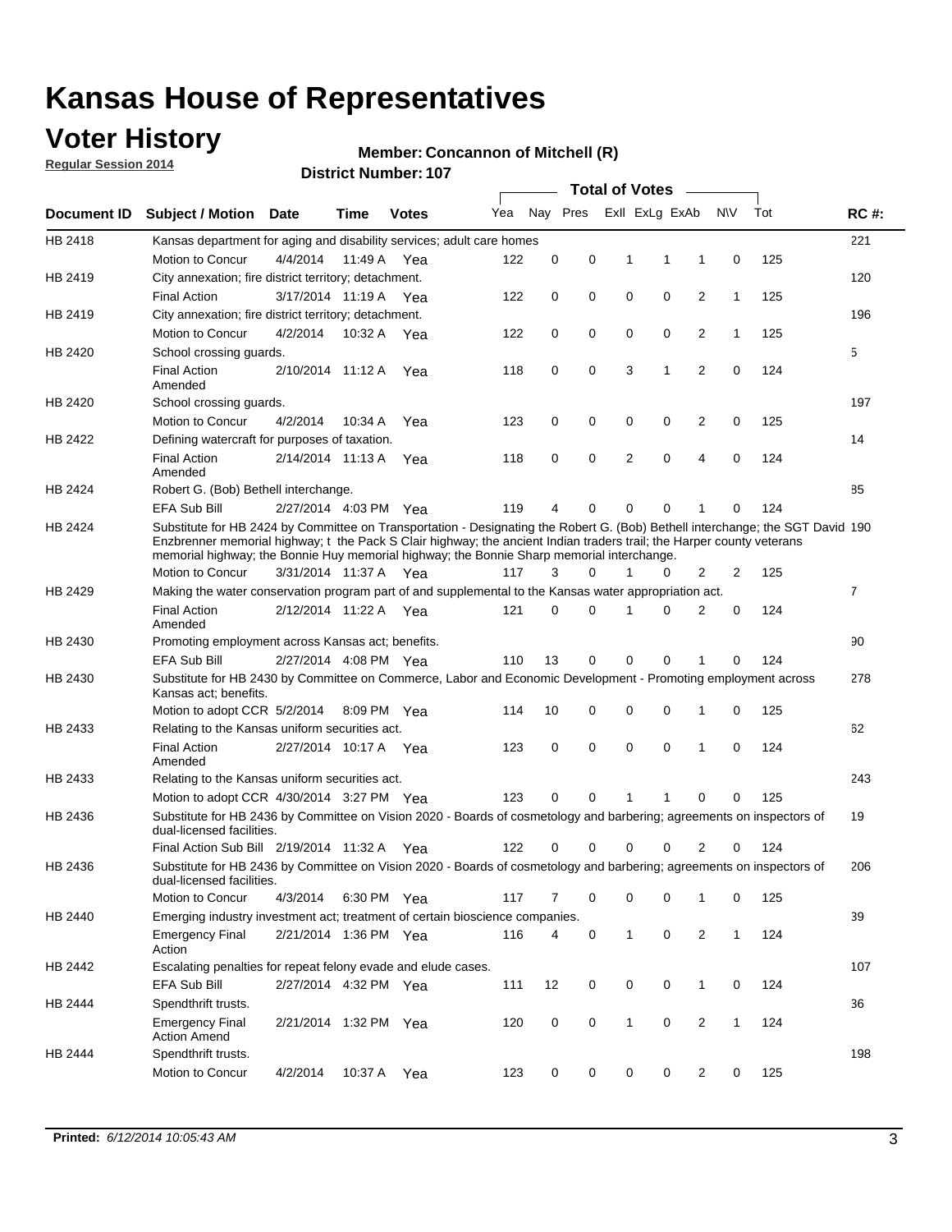## **Voter History**

**Regular Session 2014**

#### **Member: Concannon of Mitchell (R)**

|             | <b>DISTRICT MAILIDEL. TO</b><br><b>Total of Votes</b>                                                                                                                                                                                                                                                                                                |                       |             |              |     |                |             |              |                |                |              |     |             |
|-------------|------------------------------------------------------------------------------------------------------------------------------------------------------------------------------------------------------------------------------------------------------------------------------------------------------------------------------------------------------|-----------------------|-------------|--------------|-----|----------------|-------------|--------------|----------------|----------------|--------------|-----|-------------|
| Document ID | <b>Subject / Motion</b>                                                                                                                                                                                                                                                                                                                              | <b>Date</b>           | Time        | <b>Votes</b> | Yea |                | Nay Pres    |              | Exll ExLg ExAb |                | <b>NV</b>    | Tot | <b>RC#:</b> |
| HB 2418     | Kansas department for aging and disability services; adult care homes                                                                                                                                                                                                                                                                                |                       |             |              |     |                |             |              |                |                |              |     | 221         |
|             | Motion to Concur                                                                                                                                                                                                                                                                                                                                     | 4/4/2014              | 11:49 A     | Yea          | 122 | 0              | $\mathbf 0$ | 1            | 1              | 1              | $\mathbf 0$  | 125 |             |
| HB 2419     | City annexation; fire district territory; detachment.                                                                                                                                                                                                                                                                                                |                       |             |              |     |                |             |              |                |                |              |     | 120         |
|             | <b>Final Action</b>                                                                                                                                                                                                                                                                                                                                  | 3/17/2014 11:19 A Yea |             |              | 122 | 0              | 0           | $\mathbf 0$  | $\mathbf 0$    | 2              | 1            | 125 |             |
| HB 2419     | City annexation; fire district territory; detachment.                                                                                                                                                                                                                                                                                                |                       |             |              |     |                |             |              |                |                |              |     | 196         |
|             | Motion to Concur                                                                                                                                                                                                                                                                                                                                     | 4/2/2014              | 10:32 A     | Yea          | 122 | 0              | 0           | $\mathbf 0$  | $\mathbf 0$    | 2              | 1            | 125 |             |
| HB 2420     | School crossing quards.                                                                                                                                                                                                                                                                                                                              |                       |             |              |     |                |             |              |                |                |              |     | 5           |
|             | <b>Final Action</b><br>Amended                                                                                                                                                                                                                                                                                                                       | 2/10/2014 11:12 A     |             | Yea          | 118 | 0              | $\mathbf 0$ | 3            | 1              | 2              | $\mathbf 0$  | 124 |             |
| HB 2420     | School crossing guards.                                                                                                                                                                                                                                                                                                                              |                       |             |              |     |                |             |              |                |                |              |     | 197         |
|             | Motion to Concur                                                                                                                                                                                                                                                                                                                                     | 4/2/2014              | 10:34 A     | Yea          | 123 | 0              | 0           | 0            | 0              | 2              | 0            | 125 |             |
| HB 2422     | Defining watercraft for purposes of taxation.                                                                                                                                                                                                                                                                                                        |                       |             |              |     |                |             |              |                |                |              |     | 14          |
|             | <b>Final Action</b><br>Amended                                                                                                                                                                                                                                                                                                                       | 2/14/2014 11:13 A     |             | Yea          | 118 | 0              | $\mathbf 0$ | 2            | 0              | 4              | $\mathbf 0$  | 124 |             |
| HB 2424     | Robert G. (Bob) Bethell interchange.                                                                                                                                                                                                                                                                                                                 |                       |             |              |     |                |             |              |                |                |              |     | 85          |
|             | <b>EFA Sub Bill</b>                                                                                                                                                                                                                                                                                                                                  | 2/27/2014 4:03 PM Yea |             |              | 119 | 4              | 0           | 0            | $\mathbf 0$    | 1              | $\Omega$     | 124 |             |
| HB 2424     | Substitute for HB 2424 by Committee on Transportation - Designating the Robert G. (Bob) Bethell interchange; the SGT David 190<br>Enzbrenner memorial highway; t the Pack S Clair highway; the ancient Indian traders trail; the Harper county veterans<br>memorial highway; the Bonnie Huy memorial highway; the Bonnie Sharp memorial interchange. |                       |             |              |     |                |             |              |                |                |              |     |             |
|             | Motion to Concur                                                                                                                                                                                                                                                                                                                                     | 3/31/2014 11:37 A Yea |             |              | 117 | 3              | 0           | 1            | 0              | 2              | 2            | 125 |             |
| HB 2429     | Making the water conservation program part of and supplemental to the Kansas water appropriation act.                                                                                                                                                                                                                                                |                       |             |              |     |                |             |              |                |                |              |     | 7           |
|             | <b>Final Action</b><br>Amended                                                                                                                                                                                                                                                                                                                       | 2/12/2014 11:22 A Yea |             |              | 121 | $\Omega$       | 0           | 1            | $\Omega$       | 2              | $\mathbf 0$  | 124 |             |
| HB 2430     | Promoting employment across Kansas act; benefits.                                                                                                                                                                                                                                                                                                    |                       |             |              |     |                |             |              |                |                |              |     | 90          |
|             | <b>EFA Sub Bill</b>                                                                                                                                                                                                                                                                                                                                  | 2/27/2014 4:08 PM Yea |             |              | 110 | 13             | 0           | $\mathbf 0$  | $\mathbf 0$    | 1              | 0            | 124 |             |
| HB 2430     | Substitute for HB 2430 by Committee on Commerce, Labor and Economic Development - Promoting employment across<br>Kansas act; benefits.                                                                                                                                                                                                               |                       |             |              |     |                |             |              |                |                |              |     | 278         |
|             | Motion to adopt CCR 5/2/2014                                                                                                                                                                                                                                                                                                                         |                       | 8:09 PM Yea |              | 114 | 10             | 0           | 0            | $\mathbf 0$    | 1              | 0            | 125 |             |
| HB 2433     | Relating to the Kansas uniform securities act.                                                                                                                                                                                                                                                                                                       |                       |             |              |     |                |             |              |                |                |              |     | 62          |
|             | <b>Final Action</b><br>Amended                                                                                                                                                                                                                                                                                                                       | 2/27/2014 10:17 A Yea |             |              | 123 | 0              | 0           | 0            | $\mathbf 0$    | 1              | 0            | 124 |             |
| HB 2433     | Relating to the Kansas uniform securities act.                                                                                                                                                                                                                                                                                                       |                       |             |              |     |                |             |              |                |                |              |     | 243         |
|             | Motion to adopt CCR 4/30/2014 3:27 PM Yea                                                                                                                                                                                                                                                                                                            |                       |             |              | 123 | $\Omega$       | $\Omega$    | 1            | 1              | $\Omega$       | 0            | 125 |             |
| HB 2436     | Substitute for HB 2436 by Committee on Vision 2020 - Boards of cosmetology and barbering; agreements on inspectors of<br>dual-licensed facilities.                                                                                                                                                                                                   |                       |             |              |     |                |             |              |                |                |              |     | 19          |
|             | Final Action Sub Bill 2/19/2014 11:32 A Yea                                                                                                                                                                                                                                                                                                          |                       |             |              | 122 |                | 0           | ი            | 0              | 2              | 0            | 124 |             |
| HB 2436     | Substitute for HB 2436 by Committee on Vision 2020 - Boards of cosmetology and barbering; agreements on inspectors of<br>dual-licensed facilities.                                                                                                                                                                                                   |                       |             |              |     |                |             |              |                |                |              |     | 206         |
|             | Motion to Concur                                                                                                                                                                                                                                                                                                                                     | 4/3/2014              | 6:30 PM Yea |              | 117 | $\overline{7}$ | 0           | 0            | 0              | $\mathbf{1}$   | 0            | 125 |             |
| HB 2440     | Emerging industry investment act; treatment of certain bioscience companies.                                                                                                                                                                                                                                                                         |                       |             |              |     |                |             |              |                |                |              |     | 39          |
|             | <b>Emergency Final</b><br>Action                                                                                                                                                                                                                                                                                                                     | 2/21/2014 1:36 PM Yea |             |              | 116 | 4              | 0           | $\mathbf{1}$ | $\pmb{0}$      | $\overline{2}$ | $\mathbf{1}$ | 124 |             |
| HB 2442     | Escalating penalties for repeat felony evade and elude cases.                                                                                                                                                                                                                                                                                        |                       |             |              |     |                |             |              |                |                |              |     | 107         |
|             | EFA Sub Bill                                                                                                                                                                                                                                                                                                                                         | 2/27/2014 4:32 PM Yea |             |              | 111 | 12             | 0           | 0            | 0              | $\mathbf{1}$   | 0            | 124 |             |
| HB 2444     | Spendthrift trusts.                                                                                                                                                                                                                                                                                                                                  |                       |             |              |     |                |             |              |                |                |              |     | 36          |
|             | <b>Emergency Final</b><br><b>Action Amend</b>                                                                                                                                                                                                                                                                                                        | 2/21/2014 1:32 PM Yea |             |              | 120 | 0              | 0           | $\mathbf{1}$ | 0              | 2              | $\mathbf{1}$ | 124 |             |
| HB 2444     | Spendthrift trusts.<br>Motion to Concur                                                                                                                                                                                                                                                                                                              | 4/2/2014              | 10:37 A Yea |              | 123 | 0              | 0           | 0            | 0              | 2              | 0            | 125 | 198         |
|             |                                                                                                                                                                                                                                                                                                                                                      |                       |             |              |     |                |             |              |                |                |              |     |             |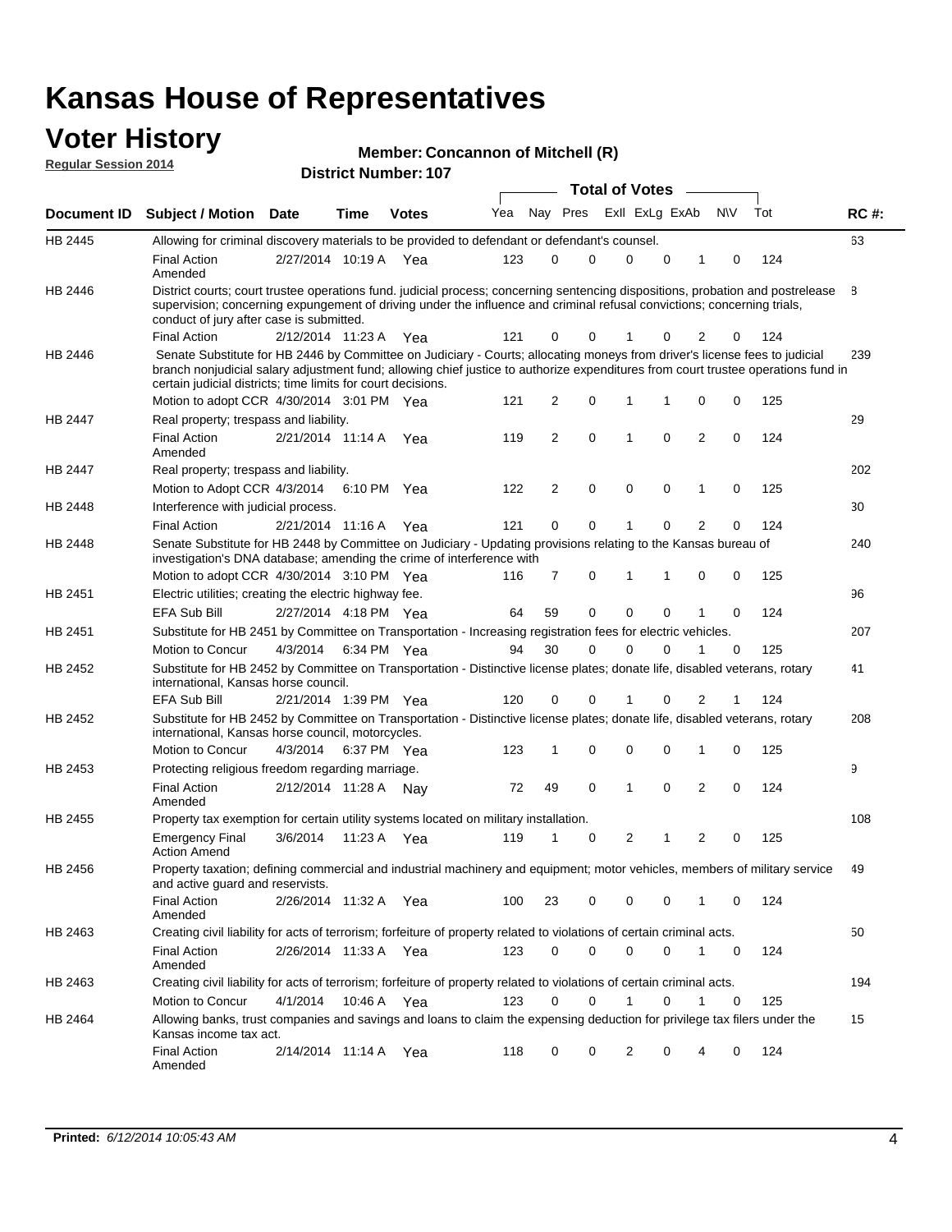### **Voter History Regular Session 2014**

| <b>Member: Concannon of Mitchell (R)</b> |  |  |  |
|------------------------------------------|--|--|--|
|------------------------------------------|--|--|--|

|                |                                                                                                                                                                                                                                                                                                                                 |                       |      |              |     |                |   | <b>Total of Votes</b> |   |                |             |     |             |
|----------------|---------------------------------------------------------------------------------------------------------------------------------------------------------------------------------------------------------------------------------------------------------------------------------------------------------------------------------|-----------------------|------|--------------|-----|----------------|---|-----------------------|---|----------------|-------------|-----|-------------|
|                | Document ID Subject / Motion Date                                                                                                                                                                                                                                                                                               |                       | Time | <b>Votes</b> | Yea | Nay Pres       |   | Exll ExLg ExAb        |   |                | <b>NV</b>   | Tot | <b>RC#:</b> |
| <b>HB 2445</b> | Allowing for criminal discovery materials to be provided to defendant or defendant's counsel.                                                                                                                                                                                                                                   |                       |      |              |     |                |   |                       |   |                |             |     | 63          |
|                | <b>Final Action</b><br>Amended                                                                                                                                                                                                                                                                                                  | 2/27/2014 10:19 A Yea |      |              | 123 | 0              | 0 | $\Omega$              | 0 | 1              | 0           | 124 |             |
| HB 2446        | District courts; court trustee operations fund. judicial process; concerning sentencing dispositions, probation and postrelease<br>supervision; concerning expungement of driving under the influence and criminal refusal convictions; concerning trials,<br>conduct of jury after case is submitted.                          |                       |      |              |     |                |   |                       |   |                |             |     | 8           |
|                | <b>Final Action</b>                                                                                                                                                                                                                                                                                                             | 2/12/2014 11:23 A     |      | Yea          | 121 | 0              | 0 | 1                     | 0 | 2              | 0           | 124 |             |
| HB 2446        | Senate Substitute for HB 2446 by Committee on Judiciary - Courts; allocating moneys from driver's license fees to judicial<br>branch nonjudicial salary adjustment fund; allowing chief justice to authorize expenditures from court trustee operations fund in<br>certain judicial districts; time limits for court decisions. |                       |      |              |     |                |   |                       |   |                |             |     | 239         |
|                | Motion to adopt CCR 4/30/2014 3:01 PM Yea                                                                                                                                                                                                                                                                                       |                       |      |              | 121 | 2              | 0 | 1                     | 1 | 0              | 0           | 125 |             |
| <b>HB 2447</b> | Real property; trespass and liability.                                                                                                                                                                                                                                                                                          |                       |      |              |     |                |   |                       |   |                |             |     | 29          |
|                | <b>Final Action</b><br>Amended                                                                                                                                                                                                                                                                                                  | 2/21/2014 11:14 A Yea |      |              | 119 | 2              | 0 | 1                     | 0 | $\overline{2}$ | 0           | 124 |             |
| <b>HB 2447</b> | Real property; trespass and liability.                                                                                                                                                                                                                                                                                          |                       |      |              |     |                |   |                       |   |                |             |     | 202         |
|                | Motion to Adopt CCR 4/3/2014                                                                                                                                                                                                                                                                                                    |                       |      | 6:10 PM Yea  | 122 | $\overline{2}$ | 0 | $\mathbf 0$           | 0 | 1              | 0           | 125 |             |
| <b>HB 2448</b> | Interference with judicial process.                                                                                                                                                                                                                                                                                             |                       |      |              |     |                |   |                       |   |                |             |     | 30          |
|                | <b>Final Action</b>                                                                                                                                                                                                                                                                                                             | 2/21/2014 11:16 A     |      | Yea          | 121 | 0              | 0 | 1                     | 0 | $\overline{2}$ | 0           | 124 |             |
| HB 2448        | Senate Substitute for HB 2448 by Committee on Judiciary - Updating provisions relating to the Kansas bureau of<br>investigation's DNA database; amending the crime of interference with                                                                                                                                         |                       |      |              |     |                |   |                       |   |                |             |     | 240         |
|                | Motion to adopt CCR 4/30/2014 3:10 PM Yea                                                                                                                                                                                                                                                                                       |                       |      |              | 116 | 7              | 0 | 1                     | 1 | 0              | 0           | 125 |             |
| HB 2451        | Electric utilities; creating the electric highway fee.                                                                                                                                                                                                                                                                          |                       |      |              |     |                |   |                       |   |                |             |     | 96          |
|                | EFA Sub Bill                                                                                                                                                                                                                                                                                                                    | 2/27/2014 4:18 PM Yea |      |              | 64  | 59             | 0 | 0                     | 0 |                | $\mathbf 0$ | 124 |             |
| HB 2451        | Substitute for HB 2451 by Committee on Transportation - Increasing registration fees for electric vehicles.                                                                                                                                                                                                                     |                       |      |              |     |                |   |                       |   |                |             |     | 207         |
|                | Motion to Concur                                                                                                                                                                                                                                                                                                                | 4/3/2014              |      | 6:34 PM Yea  | 94  | 30             | 0 | $\Omega$              | 0 |                | 0           | 125 |             |
| HB 2452        | Substitute for HB 2452 by Committee on Transportation - Distinctive license plates; donate life, disabled veterans, rotary<br>international, Kansas horse council.                                                                                                                                                              |                       |      |              |     |                |   |                       |   |                |             |     | 41          |
|                | <b>EFA Sub Bill</b>                                                                                                                                                                                                                                                                                                             | 2/21/2014 1:39 PM Yea |      |              | 120 | 0              | 0 |                       | 0 | 2              |             | 124 |             |
| HB 2452        | Substitute for HB 2452 by Committee on Transportation - Distinctive license plates; donate life, disabled veterans, rotary<br>international, Kansas horse council, motorcycles.                                                                                                                                                 |                       |      |              |     |                |   |                       |   |                |             |     | 208         |
|                | Motion to Concur                                                                                                                                                                                                                                                                                                                | 4/3/2014              |      | 6:37 PM Yea  | 123 | 1              | 0 | 0                     | 0 | 1              | 0           | 125 |             |
| HB 2453        | Protecting religious freedom regarding marriage.                                                                                                                                                                                                                                                                                |                       |      |              |     |                |   |                       |   |                |             |     | 9           |
|                | <b>Final Action</b><br>Amended                                                                                                                                                                                                                                                                                                  | 2/12/2014 11:28 A Nay |      |              | 72  | 49             | 0 | 1                     | 0 | $\overline{2}$ | 0           | 124 |             |
| HB 2455        | Property tax exemption for certain utility systems located on military installation.                                                                                                                                                                                                                                            |                       |      |              |     |                |   |                       |   |                |             |     | 108         |
|                | <b>Emergency Final</b><br><b>Action Amend</b>                                                                                                                                                                                                                                                                                   | 3/6/2014              |      | 11:23 A Yea  | 119 | 1              | 0 | 2                     | 1 | 2              | 0           | 125 |             |
| HB 2456        | Property taxation; defining commercial and industrial machinery and equipment; motor vehicles, members of military service<br>and active guard and reservists.                                                                                                                                                                  |                       |      |              |     |                |   |                       |   |                |             |     | 49          |
|                | Final Action<br>Amended                                                                                                                                                                                                                                                                                                         | 2/26/2014 11:32 A Yea |      |              | 100 | 23             | 0 | 0                     | 0 | 1              | 0           | 124 |             |
| HB 2463        | Creating civil liability for acts of terrorism; forfeiture of property related to violations of certain criminal acts.                                                                                                                                                                                                          |                       |      |              |     |                |   |                       |   |                |             |     | 50          |
|                | <b>Final Action</b><br>Amended                                                                                                                                                                                                                                                                                                  | 2/26/2014 11:33 A Yea |      |              | 123 | 0              | 0 | 0                     | 0 | $\mathbf{1}$   | 0           | 124 |             |
| HB 2463        | Creating civil liability for acts of terrorism; forfeiture of property related to violations of certain criminal acts.                                                                                                                                                                                                          |                       |      |              |     |                |   |                       |   |                |             |     | 194         |
|                | Motion to Concur                                                                                                                                                                                                                                                                                                                | 4/1/2014              |      | 10:46 A Yea  | 123 | 0              | 0 | 1                     | 0 | 1              | $\mathbf 0$ | 125 |             |
| HB 2464        | Allowing banks, trust companies and savings and loans to claim the expensing deduction for privilege tax filers under the<br>Kansas income tax act.                                                                                                                                                                             |                       |      |              |     |                |   |                       |   |                |             |     | 15          |
|                | <b>Final Action</b><br>Amended                                                                                                                                                                                                                                                                                                  | 2/14/2014 11:14 A Yea |      |              | 118 | 0              | 0 | 2                     | 0 | 4              | 0           | 124 |             |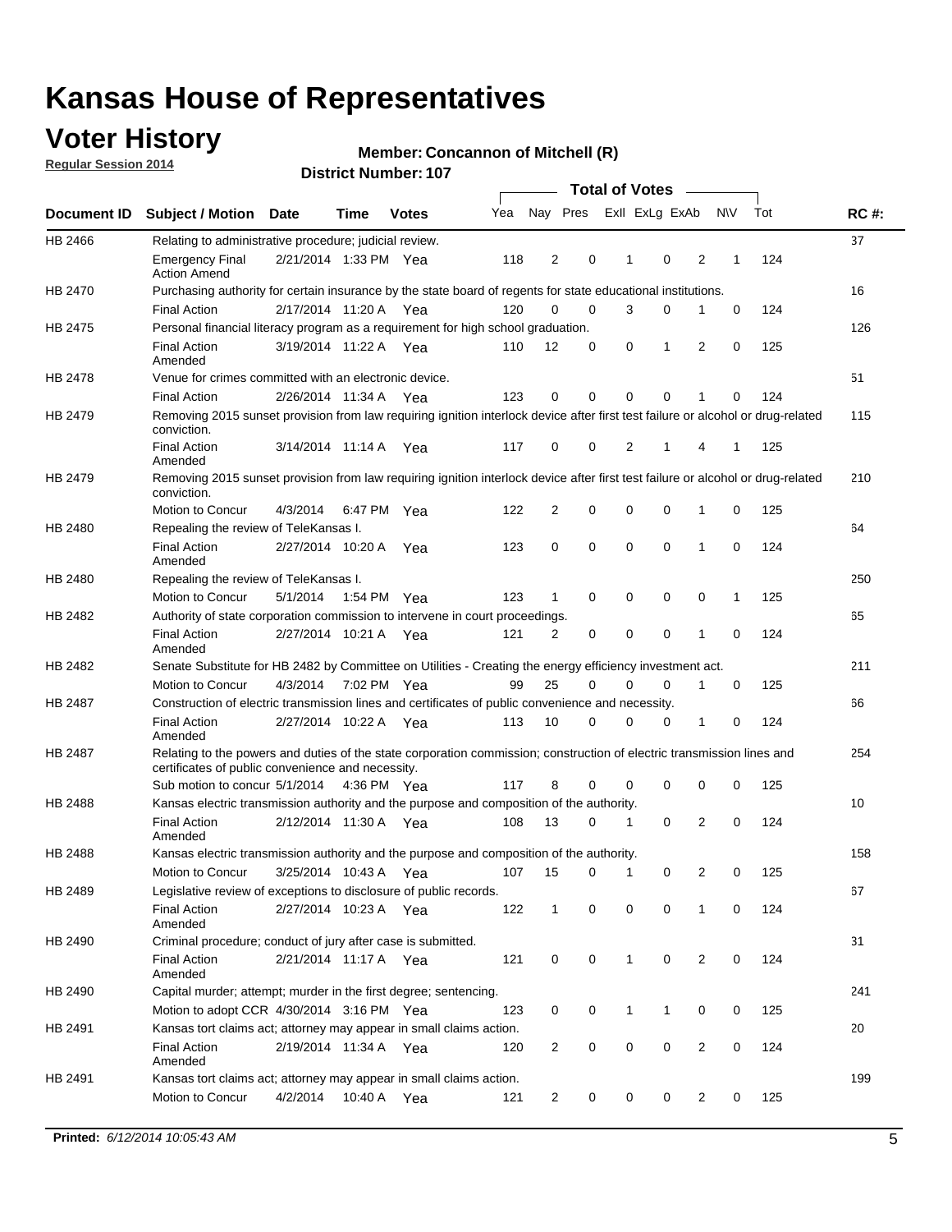## **Voter History**

**Regular Session 2014**

#### **Member: Concannon of Mitchell (R)**

|                |                                                                                                                                                                             |                       |         |              |     |                |          | <b>Total of Votes</b> |                |                |             |     |             |
|----------------|-----------------------------------------------------------------------------------------------------------------------------------------------------------------------------|-----------------------|---------|--------------|-----|----------------|----------|-----------------------|----------------|----------------|-------------|-----|-------------|
|                | Document ID Subject / Motion                                                                                                                                                | <b>Date</b>           | Time    | <b>Votes</b> | Yea | Nay Pres       |          |                       | Exll ExLg ExAb |                | <b>NV</b>   | Tot | <b>RC#:</b> |
| HB 2466        | Relating to administrative procedure; judicial review.                                                                                                                      |                       |         |              |     |                |          |                       |                |                |             |     | 37          |
|                | <b>Emergency Final</b><br><b>Action Amend</b>                                                                                                                               | 2/21/2014 1:33 PM Yea |         |              | 118 | $\overline{2}$ | 0        | 1                     | $\mathbf 0$    | 2              | 1           | 124 |             |
| <b>HB 2470</b> | Purchasing authority for certain insurance by the state board of regents for state educational institutions.                                                                |                       |         |              |     |                |          |                       |                |                |             |     | 16          |
|                | <b>Final Action</b>                                                                                                                                                         | 2/17/2014 11:20 A Yea |         |              | 120 | 0              | 0        | 3                     | 0              | 1              | $\mathbf 0$ | 124 |             |
| HB 2475        | Personal financial literacy program as a requirement for high school graduation.                                                                                            |                       |         |              |     |                |          |                       |                |                |             |     | 126         |
|                | <b>Final Action</b><br>Amended                                                                                                                                              | 3/19/2014 11:22 A Yea |         |              | 110 | 12             | 0        | 0                     | 1              | 2              | 0           | 125 |             |
| HB 2478        | Venue for crimes committed with an electronic device.                                                                                                                       |                       |         |              |     |                |          |                       |                |                |             |     | 51          |
|                | <b>Final Action</b>                                                                                                                                                         | 2/26/2014 11:34 A     |         | Yea          | 123 | 0              | 0        | $\Omega$              | $\mathbf 0$    | 1              | 0           | 124 |             |
| HB 2479        | Removing 2015 sunset provision from law requiring ignition interlock device after first test failure or alcohol or drug-related<br>conviction.                              |                       |         |              |     |                |          |                       |                |                |             |     | 115         |
|                | <b>Final Action</b><br>Amended                                                                                                                                              | 3/14/2014 11:14 A     |         | Yea          | 117 | 0              | 0        | $\overline{2}$        | 1              | 4              | 1           | 125 |             |
| HB 2479        | Removing 2015 sunset provision from law requiring ignition interlock device after first test failure or alcohol or drug-related<br>conviction.                              |                       |         |              |     |                |          |                       |                |                |             |     | 210         |
|                | Motion to Concur                                                                                                                                                            | 4/3/2014              |         | 6:47 PM Yea  | 122 | $\overline{2}$ | 0        | $\mathbf 0$           | 0              | 1              | 0           | 125 |             |
| HB 2480        | Repealing the review of TeleKansas I.                                                                                                                                       |                       |         |              |     |                |          |                       |                |                |             |     | 64          |
|                | <b>Final Action</b><br>Amended                                                                                                                                              | 2/27/2014 10:20 A     |         | Yea          | 123 | 0              | 0        | $\mathbf 0$           | $\mathbf 0$    | 1              | 0           | 124 |             |
| HB 2480        | Repealing the review of TeleKansas I.                                                                                                                                       |                       |         |              |     |                |          |                       |                |                |             |     | 250         |
|                | <b>Motion to Concur</b>                                                                                                                                                     | 5/1/2014              |         | 1:54 PM Yea  | 123 | 1              | 0        | 0                     | 0              | 0              | 1           | 125 |             |
| HB 2482        | Authority of state corporation commission to intervene in court proceedings.                                                                                                |                       |         |              |     |                |          |                       |                |                |             |     | 65          |
|                | <b>Final Action</b><br>Amended                                                                                                                                              | 2/27/2014 10:21 A     |         | Yea          | 121 | 2              | 0        | 0                     | 0              | 1              | 0           | 124 |             |
| HB 2482        | Senate Substitute for HB 2482 by Committee on Utilities - Creating the energy efficiency investment act.                                                                    |                       |         |              |     |                |          |                       |                |                |             |     | 211         |
|                | Motion to Concur                                                                                                                                                            | 4/3/2014 7:02 PM Yea  |         |              | 99  | 25             | $\Omega$ | $\Omega$              | $\mathbf 0$    | 1              | 0           | 125 |             |
| HB 2487        | Construction of electric transmission lines and certificates of public convenience and necessity.                                                                           |                       |         |              |     |                |          |                       |                |                |             |     | 66          |
|                | <b>Final Action</b><br>Amended                                                                                                                                              | 2/27/2014 10:22 A     |         | Yea          | 113 | 10             | 0        | 0                     | 0              | 1              | 0           | 124 |             |
| HB 2487        | Relating to the powers and duties of the state corporation commission; construction of electric transmission lines and<br>certificates of public convenience and necessity. |                       |         |              |     |                |          |                       |                |                |             |     | 254         |
|                | Sub motion to concur 5/1/2014                                                                                                                                               |                       |         | 4:36 PM Yea  | 117 | 8              | 0        | 0                     | 0              | 0              | 0           | 125 |             |
| HB 2488        | Kansas electric transmission authority and the purpose and composition of the authority.                                                                                    |                       |         |              |     |                |          |                       |                |                |             |     | 10          |
|                | <b>Final Action</b><br>Amended                                                                                                                                              | 2/12/2014 11:30 A     |         | Yea          | 108 | 13             | 0        | 1                     | 0              | 2              | 0           | 124 |             |
| <b>HB 2488</b> | Kansas electric transmission authority and the purpose and composition of the authority.                                                                                    |                       |         |              |     |                |          |                       |                |                |             |     | 158         |
|                | Motion to Concur                                                                                                                                                            | 3/25/2014 10:43 A     |         | Yea          | 107 | 15             | 0        | $\mathbf{1}$          | 0              | 2              | 0           | 125 |             |
| HB 2489        | Legislative review of exceptions to disclosure of public records.                                                                                                           |                       |         |              |     |                |          |                       |                |                |             |     | 67          |
|                | <b>Final Action</b><br>Amended                                                                                                                                              | 2/27/2014 10:23 A Yea |         |              | 122 | $\mathbf{1}$   | 0        | 0                     | 0              | 1              | 0           | 124 |             |
| HB 2490        | Criminal procedure; conduct of jury after case is submitted.                                                                                                                |                       |         |              |     |                |          |                       |                |                |             |     | 31          |
|                | <b>Final Action</b><br>Amended                                                                                                                                              | 2/21/2014 11:17 A Yea |         |              | 121 | 0              | 0        | $\mathbf{1}$          | 0              | 2              | $\mathbf 0$ | 124 |             |
| HB 2490        | Capital murder; attempt; murder in the first degree; sentencing.                                                                                                            |                       |         |              |     |                |          |                       |                |                |             |     | 241         |
|                | Motion to adopt CCR 4/30/2014 3:16 PM Yea                                                                                                                                   |                       |         |              | 123 | 0              | 0        | 1                     | 1              | 0              | 0           | 125 |             |
| HB 2491        | Kansas tort claims act; attorney may appear in small claims action.                                                                                                         |                       |         |              |     |                |          |                       |                |                |             |     | 20          |
|                | <b>Final Action</b><br>Amended                                                                                                                                              | 2/19/2014 11:34 A Yea |         |              | 120 | 2              | 0        | 0                     | 0              | $\overline{2}$ | 0           | 124 |             |
| HB 2491        | Kansas tort claims act; attorney may appear in small claims action.                                                                                                         |                       |         |              |     |                |          |                       |                |                |             |     | 199         |
|                | Motion to Concur                                                                                                                                                            | 4/2/2014              | 10:40 A | Yea          | 121 | 2              | 0        | 0                     | 0              | $\overline{2}$ | 0           | 125 |             |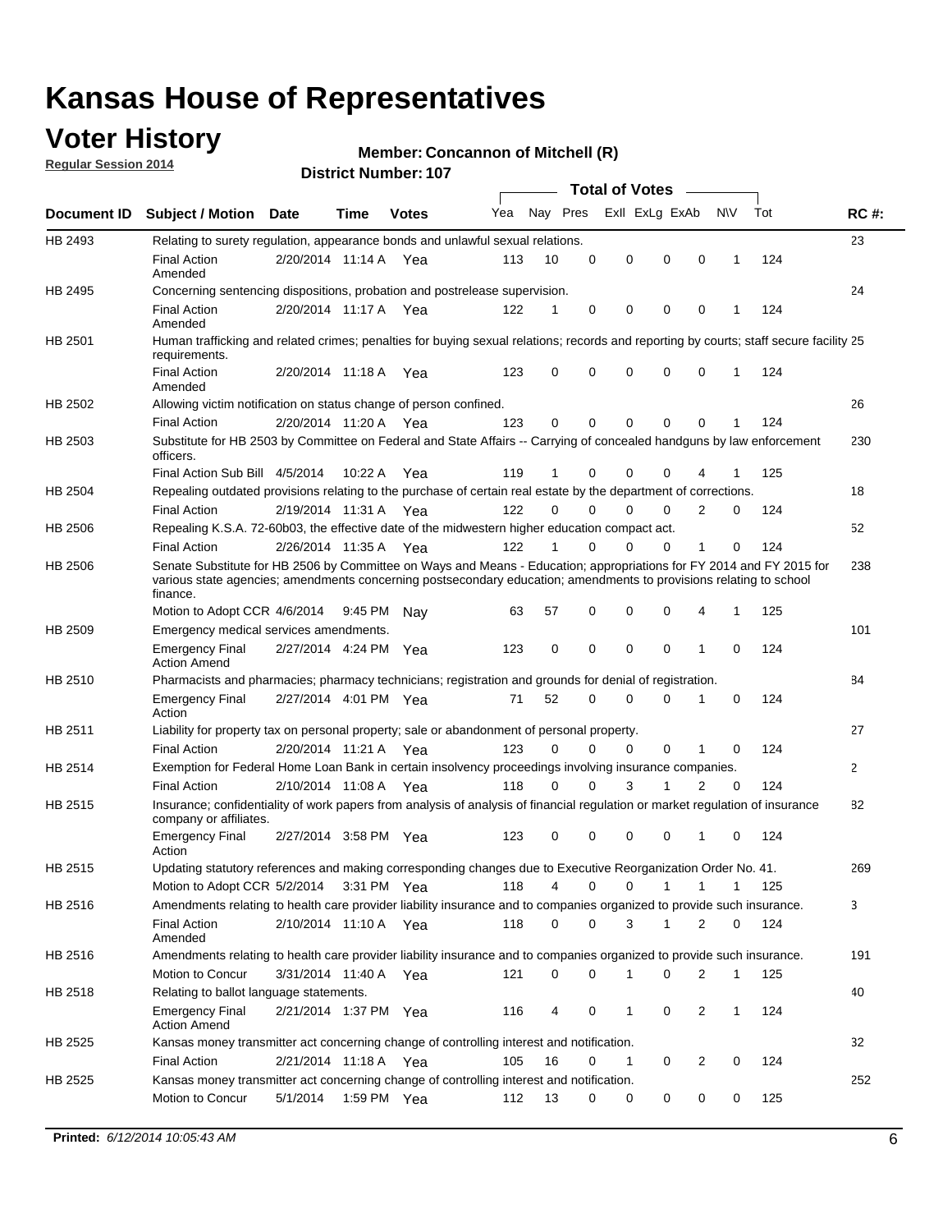## **Voter History**

**Regular Session 2014**

#### **Member: Concannon of Mitchell (R)**

|                |                                                                                                                                                                                                                                                        |                       |             | <b>DISTRICT MAILIDEL. TO</b> |     |          |          | Total of Votes –     |                |              |     |              |
|----------------|--------------------------------------------------------------------------------------------------------------------------------------------------------------------------------------------------------------------------------------------------------|-----------------------|-------------|------------------------------|-----|----------|----------|----------------------|----------------|--------------|-----|--------------|
| Document ID    | <b>Subject / Motion Date</b>                                                                                                                                                                                                                           |                       | Time        | <b>Votes</b>                 | Yea | Nay Pres |          | Exll ExLg ExAb       |                | N\V          | Tot | <b>RC#:</b>  |
| HB 2493        | Relating to surety regulation, appearance bonds and unlawful sexual relations.                                                                                                                                                                         |                       |             |                              |     |          |          |                      |                |              |     | 23           |
|                | <b>Final Action</b><br>Amended                                                                                                                                                                                                                         | 2/20/2014 11:14 A Yea |             |                              | 113 | 10       | 0        | 0<br>$\mathbf 0$     | $\mathbf 0$    | $\mathbf 1$  | 124 |              |
| HB 2495        | Concerning sentencing dispositions, probation and postrelease supervision.                                                                                                                                                                             |                       |             |                              |     |          |          |                      |                |              |     | 24           |
|                | <b>Final Action</b><br>Amended                                                                                                                                                                                                                         | 2/20/2014 11:17 A     |             | Yea                          | 122 | 1        | 0        | 0<br>0               | $\mathbf 0$    | -1           | 124 |              |
| HB 2501        | Human trafficking and related crimes; penalties for buying sexual relations; records and reporting by courts; staff secure facility 25<br>requirements.                                                                                                |                       |             |                              |     |          |          |                      |                |              |     |              |
|                | <b>Final Action</b><br>Amended                                                                                                                                                                                                                         | 2/20/2014 11:18 A Yea |             |                              | 123 | 0        | $\Omega$ | 0<br>$\Omega$        | $\mathbf 0$    | 1            | 124 |              |
| HB 2502        | Allowing victim notification on status change of person confined.                                                                                                                                                                                      |                       |             |                              |     |          |          |                      |                |              |     | 26           |
|                | <b>Final Action</b>                                                                                                                                                                                                                                    | 2/20/2014 11:20 A Yea |             |                              | 123 | 0        | 0        | 0<br>0               | $\mathbf 0$    |              | 124 |              |
| HB 2503        | Substitute for HB 2503 by Committee on Federal and State Affairs -- Carrying of concealed handguns by law enforcement<br>officers.                                                                                                                     |                       |             |                              |     |          |          |                      |                |              |     | 230          |
|                | Final Action Sub Bill 4/5/2014                                                                                                                                                                                                                         |                       | 10:22A      | Yea                          | 119 | 1        | 0        | 0<br>0               |                |              | 125 |              |
| <b>HB 2504</b> | Repealing outdated provisions relating to the purchase of certain real estate by the department of corrections.                                                                                                                                        |                       |             |                              |     |          |          |                      |                |              |     | 18           |
|                | <b>Final Action</b>                                                                                                                                                                                                                                    | 2/19/2014 11:31 A     |             | Yea                          | 122 | $\Omega$ | $\Omega$ | 0<br>0               | $\overline{2}$ | 0            | 124 |              |
| HB 2506        | Repealing K.S.A. 72-60b03, the effective date of the midwestern higher education compact act.                                                                                                                                                          |                       |             |                              |     |          |          |                      |                |              |     | 52           |
|                | <b>Final Action</b>                                                                                                                                                                                                                                    | 2/26/2014 11:35 A Yea |             |                              | 122 | 1        | 0        | 0<br>0               | 1              | 0            | 124 |              |
| HB 2506        | Senate Substitute for HB 2506 by Committee on Ways and Means - Education; appropriations for FY 2014 and FY 2015 for<br>various state agencies; amendments concerning postsecondary education; amendments to provisions relating to school<br>finance. |                       |             |                              |     |          |          |                      |                |              |     | 238          |
|                | Motion to Adopt CCR 4/6/2014                                                                                                                                                                                                                           |                       | 9:45 PM Nav |                              | 63  | 57       | 0        | 0<br>0               | 4              | $\mathbf{1}$ | 125 |              |
| HB 2509        | Emergency medical services amendments.                                                                                                                                                                                                                 |                       |             |                              |     |          |          |                      |                |              |     | 101          |
|                | <b>Emergency Final</b><br><b>Action Amend</b>                                                                                                                                                                                                          | 2/27/2014 4:24 PM Yea |             |                              | 123 | 0        | $\Omega$ | $\Omega$<br>$\Omega$ | 1              | $\Omega$     | 124 |              |
| HB 2510        | Pharmacists and pharmacies; pharmacy technicians; registration and grounds for denial of registration.                                                                                                                                                 |                       |             |                              |     |          |          |                      |                |              |     | 84           |
|                | <b>Emergency Final</b><br>Action                                                                                                                                                                                                                       | 2/27/2014 4:01 PM Yea |             |                              | 71  | 52       | $\Omega$ | 0<br>0               | 1              | 0            | 124 |              |
| HB 2511        | Liability for property tax on personal property; sale or abandonment of personal property.                                                                                                                                                             |                       |             |                              |     |          |          |                      |                |              |     | 27           |
|                | <b>Final Action</b>                                                                                                                                                                                                                                    | 2/20/2014 11:21 A Yea |             |                              | 123 | $\Omega$ | 0        | 0<br>0               | 1              | 0            | 124 |              |
| HB 2514        | Exemption for Federal Home Loan Bank in certain insolvency proceedings involving insurance companies.                                                                                                                                                  |                       |             |                              |     |          |          |                      |                |              |     | $\mathbf{2}$ |
|                | <b>Final Action</b>                                                                                                                                                                                                                                    | 2/10/2014 11:08 A     |             | Yea                          | 118 | $\Omega$ | $\Omega$ | 3<br>1               | 2              | 0            | 124 |              |
| HB 2515        | Insurance; confidentiality of work papers from analysis of analysis of financial regulation or market regulation of insurance<br>company or affiliates.                                                                                                |                       |             |                              |     |          |          |                      |                |              |     | 82           |
|                | <b>Emergency Final</b><br>Action                                                                                                                                                                                                                       | 2/27/2014 3:58 PM Yea |             |                              | 123 | 0        | 0        | 0<br>0               | 1              | $\Omega$     | 124 |              |
| HB 2515        | Updating statutory references and making corresponding changes due to Executive Reorganization Order No. 41.                                                                                                                                           |                       |             |                              |     |          |          |                      |                |              |     | 269          |
|                | Motion to Adopt CCR 5/2/2014 3:31 PM Yea                                                                                                                                                                                                               |                       |             |                              | 118 | 4        | 0        | 0<br>1               | 1              | 1            | 125 |              |
| HB 2516        | Amendments relating to health care provider liability insurance and to companies organized to provide such insurance.                                                                                                                                  |                       |             |                              |     |          |          |                      |                |              |     | 3            |
|                | <b>Final Action</b><br>Amended                                                                                                                                                                                                                         | 2/10/2014 11:10 A Yea |             |                              | 118 | 0        | 0        | 3<br>1               | 2              | 0            | 124 |              |
| HB 2516        | Amendments relating to health care provider liability insurance and to companies organized to provide such insurance.                                                                                                                                  |                       |             |                              |     |          |          |                      |                |              |     | 191          |
|                | Motion to Concur                                                                                                                                                                                                                                       | 3/31/2014 11:40 A Yea |             |                              | 121 | 0        | 0        | 1<br>0               | 2              | $\mathbf 1$  | 125 |              |
| HB 2518        | Relating to ballot language statements.                                                                                                                                                                                                                |                       |             |                              |     |          |          |                      |                |              |     | 40           |
|                | <b>Emergency Final</b><br><b>Action Amend</b>                                                                                                                                                                                                          | 2/21/2014 1:37 PM Yea |             |                              | 116 | 4        | 0        | 1<br>0               | 2              | 1            | 124 |              |
| HB 2525        | Kansas money transmitter act concerning change of controlling interest and notification.                                                                                                                                                               |                       |             |                              |     |          |          |                      |                |              |     | 32           |
|                | <b>Final Action</b>                                                                                                                                                                                                                                    | 2/21/2014 11:18 A Yea |             |                              | 105 | 16       | 0        | 1<br>0               | 2              | 0            | 124 |              |
| HB 2525        | Kansas money transmitter act concerning change of controlling interest and notification.<br>Motion to Concur                                                                                                                                           | 5/1/2014              | 1:59 PM Yea |                              | 112 | 13       | 0        | 0<br>0               | 0              | 0            | 125 | 252          |
|                |                                                                                                                                                                                                                                                        |                       |             |                              |     |          |          |                      |                |              |     |              |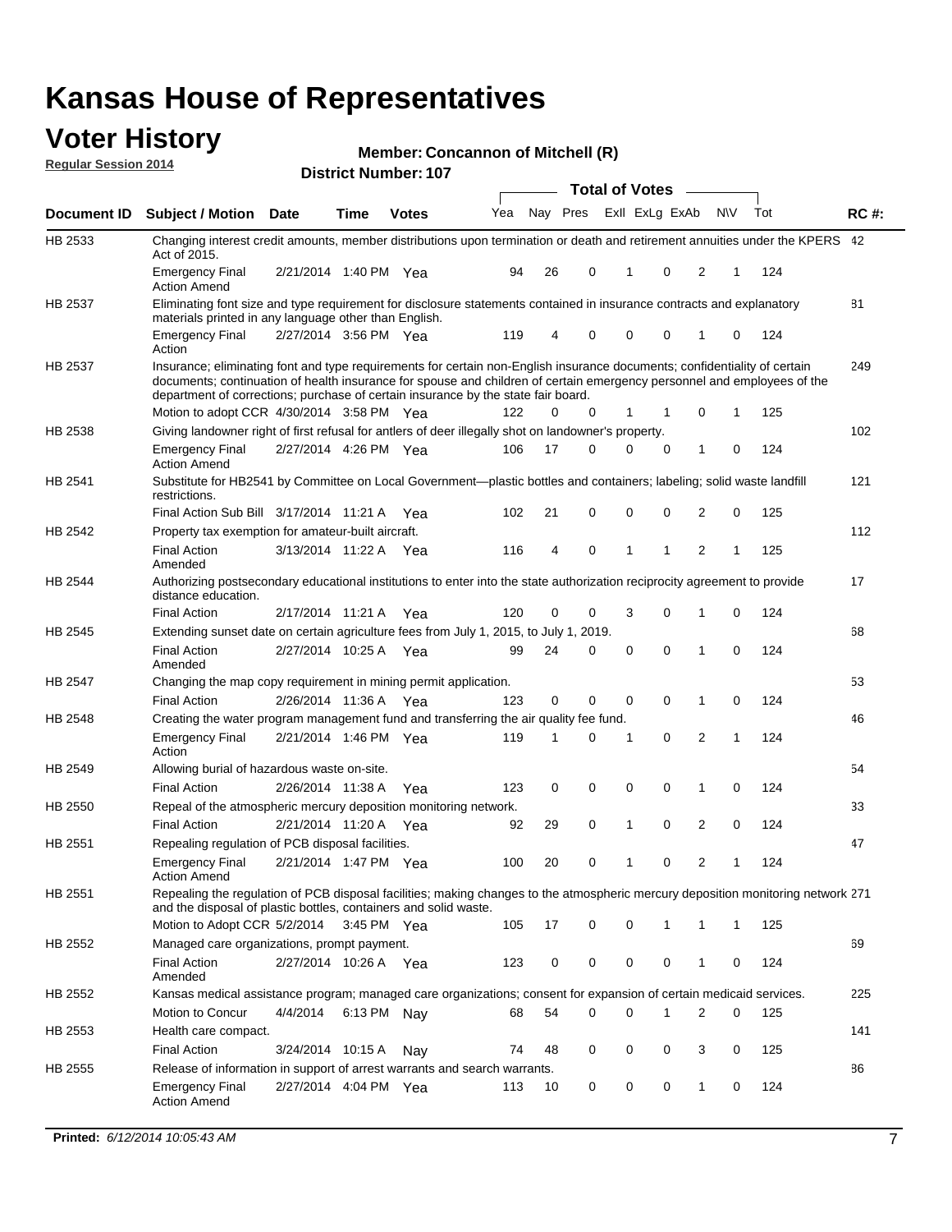### **Voter History**

**Regular Session 2014**

#### **Member: Concannon of Mitchell (R)**

|                |                                                                                                                                                                                                                                                                                                                                           |                       |             |              | <b>Total of Votes</b> | $\sim$ |          |             |                |              |           |     |             |
|----------------|-------------------------------------------------------------------------------------------------------------------------------------------------------------------------------------------------------------------------------------------------------------------------------------------------------------------------------------------|-----------------------|-------------|--------------|-----------------------|--------|----------|-------------|----------------|--------------|-----------|-----|-------------|
| Document ID    | <b>Subject / Motion Date</b>                                                                                                                                                                                                                                                                                                              |                       | Time        | <b>Votes</b> | Yea                   |        | Nay Pres |             | Exll ExLg ExAb |              | <b>NV</b> | Tot | <b>RC#:</b> |
| HB 2533        | Changing interest credit amounts, member distributions upon termination or death and retirement annuities under the KPERS 42<br>Act of 2015.                                                                                                                                                                                              |                       |             |              |                       |        |          |             |                |              |           |     |             |
|                | <b>Emergency Final</b><br><b>Action Amend</b>                                                                                                                                                                                                                                                                                             | 2/21/2014 1:40 PM Yea |             |              | 94                    | 26     | 0        | 1           | 0              | 2            | 1         | 124 |             |
| HB 2537        | Eliminating font size and type requirement for disclosure statements contained in insurance contracts and explanatory<br>materials printed in any language other than English.                                                                                                                                                            |                       |             |              |                       |        |          |             |                |              |           |     | 81          |
|                | <b>Emergency Final</b><br>Action                                                                                                                                                                                                                                                                                                          | 2/27/2014 3:56 PM Yea |             |              | 119                   | 4      | 0        | $\mathbf 0$ | 0              | 1            | 0         | 124 |             |
| <b>HB 2537</b> | Insurance; eliminating font and type requirements for certain non-English insurance documents; confidentiality of certain<br>documents; continuation of health insurance for spouse and children of certain emergency personnel and employees of the<br>department of corrections; purchase of certain insurance by the state fair board. |                       |             |              |                       |        |          |             |                |              |           |     | 249         |
|                | Motion to adopt CCR 4/30/2014 3:58 PM Yea                                                                                                                                                                                                                                                                                                 |                       |             |              | 122                   | 0      | 0        | 1           | 1              | 0            | 1         | 125 |             |
| HB 2538        | Giving landowner right of first refusal for antlers of deer illegally shot on landowner's property.                                                                                                                                                                                                                                       |                       |             |              |                       |        |          |             |                |              |           |     | 102         |
|                | <b>Emergency Final</b><br>Action Amend                                                                                                                                                                                                                                                                                                    | 2/27/2014 4:26 PM Yea |             |              | 106                   | 17     | 0        | 0           | 0              | 1            | 0         | 124 |             |
| HB 2541        | Substitute for HB2541 by Committee on Local Government—plastic bottles and containers; labeling; solid waste landfill<br>restrictions.                                                                                                                                                                                                    |                       |             |              |                       |        |          |             |                |              |           |     | 121         |
|                | Final Action Sub Bill 3/17/2014 11:21 A Yea                                                                                                                                                                                                                                                                                               |                       |             |              | 102                   | 21     | 0        | $\mathbf 0$ | 0              | 2            | 0         | 125 |             |
| HB 2542        | Property tax exemption for amateur-built aircraft.                                                                                                                                                                                                                                                                                        |                       |             |              |                       |        |          |             |                |              |           |     | 112         |
|                | <b>Final Action</b><br>Amended                                                                                                                                                                                                                                                                                                            | 3/13/2014 11:22 A Yea |             |              | 116                   | 4      | 0        | 1           | 1              | 2            | 1         | 125 |             |
| HB 2544        | Authorizing postsecondary educational institutions to enter into the state authorization reciprocity agreement to provide<br>distance education.                                                                                                                                                                                          |                       |             |              |                       |        |          |             |                |              |           |     | 17          |
|                | Final Action                                                                                                                                                                                                                                                                                                                              | 2/17/2014 11:21 A Yea |             |              | 120                   | 0      | 0        | 3           | 0              | 1            | 0         | 124 |             |
| HB 2545        | Extending sunset date on certain agriculture fees from July 1, 2015, to July 1, 2019.                                                                                                                                                                                                                                                     |                       |             |              |                       |        |          |             |                |              |           |     | 68          |
|                | <b>Final Action</b><br>Amended                                                                                                                                                                                                                                                                                                            | 2/27/2014 10:25 A Yea |             |              | 99                    | 24     | 0        | $\mathbf 0$ | $\Omega$       | 1            | 0         | 124 |             |
| HB 2547        | Changing the map copy requirement in mining permit application.                                                                                                                                                                                                                                                                           |                       |             |              |                       |        |          |             |                |              |           |     | 53          |
|                | <b>Final Action</b>                                                                                                                                                                                                                                                                                                                       | 2/26/2014 11:36 A     |             | Yea          | 123                   | 0      | 0        | 0           | 0              | 1            | 0         | 124 |             |
| <b>HB 2548</b> | Creating the water program management fund and transferring the air quality fee fund.                                                                                                                                                                                                                                                     |                       |             |              |                       |        |          |             |                |              |           |     | 46          |
|                | Emergency Final<br>Action                                                                                                                                                                                                                                                                                                                 | 2/21/2014 1:46 PM Yea |             |              | 119                   | 1      | 0        | 1           | 0              | 2            | 1         | 124 |             |
| HB 2549        | Allowing burial of hazardous waste on-site.                                                                                                                                                                                                                                                                                               |                       |             |              |                       |        |          |             |                |              |           |     | 54          |
|                | <b>Final Action</b>                                                                                                                                                                                                                                                                                                                       | 2/26/2014 11:38 A     |             | Yea          | 123                   | 0      | 0        | $\mathbf 0$ | 0              | 1            | 0         | 124 |             |
| <b>HB 2550</b> | Repeal of the atmospheric mercury deposition monitoring network.                                                                                                                                                                                                                                                                          |                       |             |              |                       |        |          |             |                |              |           |     | 33          |
|                | <b>Final Action</b>                                                                                                                                                                                                                                                                                                                       | 2/21/2014 11:20 A     |             | Yea          | 92                    | 29     | 0        | 1           | 0              | 2            | 0         | 124 |             |
| HB 2551        | Repealing regulation of PCB disposal facilities.                                                                                                                                                                                                                                                                                          |                       |             |              |                       |        |          |             |                |              |           |     | 47          |
|                | <b>Emergency Final</b><br>Action Amend                                                                                                                                                                                                                                                                                                    | 2/21/2014 1:47 PM Yea |             |              | 100                   | 20     | 0        | 1           | 0              | 2            | 1         | 124 |             |
| HB 2551        | Repealing the regulation of PCB disposal facilities; making changes to the atmospheric mercury deposition monitoring network 271<br>and the disposal of plastic bottles, containers and solid waste.                                                                                                                                      |                       |             |              |                       |        |          |             |                |              |           |     |             |
|                | Motion to Adopt CCR 5/2/2014 3:45 PM Yea                                                                                                                                                                                                                                                                                                  |                       |             |              | 105                   | 17     | 0        | $\mathbf 0$ |                | 1            | 1         | 125 |             |
| HB 2552        | Managed care organizations, prompt payment.                                                                                                                                                                                                                                                                                               |                       |             |              |                       |        |          |             |                |              |           |     | 69          |
|                | Final Action<br>Amended                                                                                                                                                                                                                                                                                                                   | 2/27/2014 10:26 A Yea |             |              | 123                   | 0      | 0        | 0           | 0              | 1            | 0         | 124 |             |
| HB 2552        | Kansas medical assistance program; managed care organizations; consent for expansion of certain medicaid services.                                                                                                                                                                                                                        |                       |             |              |                       |        |          |             |                |              |           |     | 225         |
|                | Motion to Concur                                                                                                                                                                                                                                                                                                                          | 4/4/2014              | 6:13 PM Nay |              | 68                    | 54     | 0        | $\mathbf 0$ | 1              | 2            | 0         | 125 |             |
| HB 2553        | Health care compact.                                                                                                                                                                                                                                                                                                                      |                       |             |              |                       |        |          |             |                |              |           |     | 141         |
|                | <b>Final Action</b>                                                                                                                                                                                                                                                                                                                       | 3/24/2014 10:15 A     |             | Nay          | 74                    | 48     | 0        | 0           | 0              | 3            | 0         | 125 |             |
| HB 2555        | Release of information in support of arrest warrants and search warrants.                                                                                                                                                                                                                                                                 |                       |             |              |                       |        |          |             |                |              |           |     | 86          |
|                | Emergency Final<br><b>Action Amend</b>                                                                                                                                                                                                                                                                                                    | 2/27/2014 4:04 PM Yea |             |              | 113                   | 10     | 0        | 0           | 0              | $\mathbf{1}$ | 0         | 124 |             |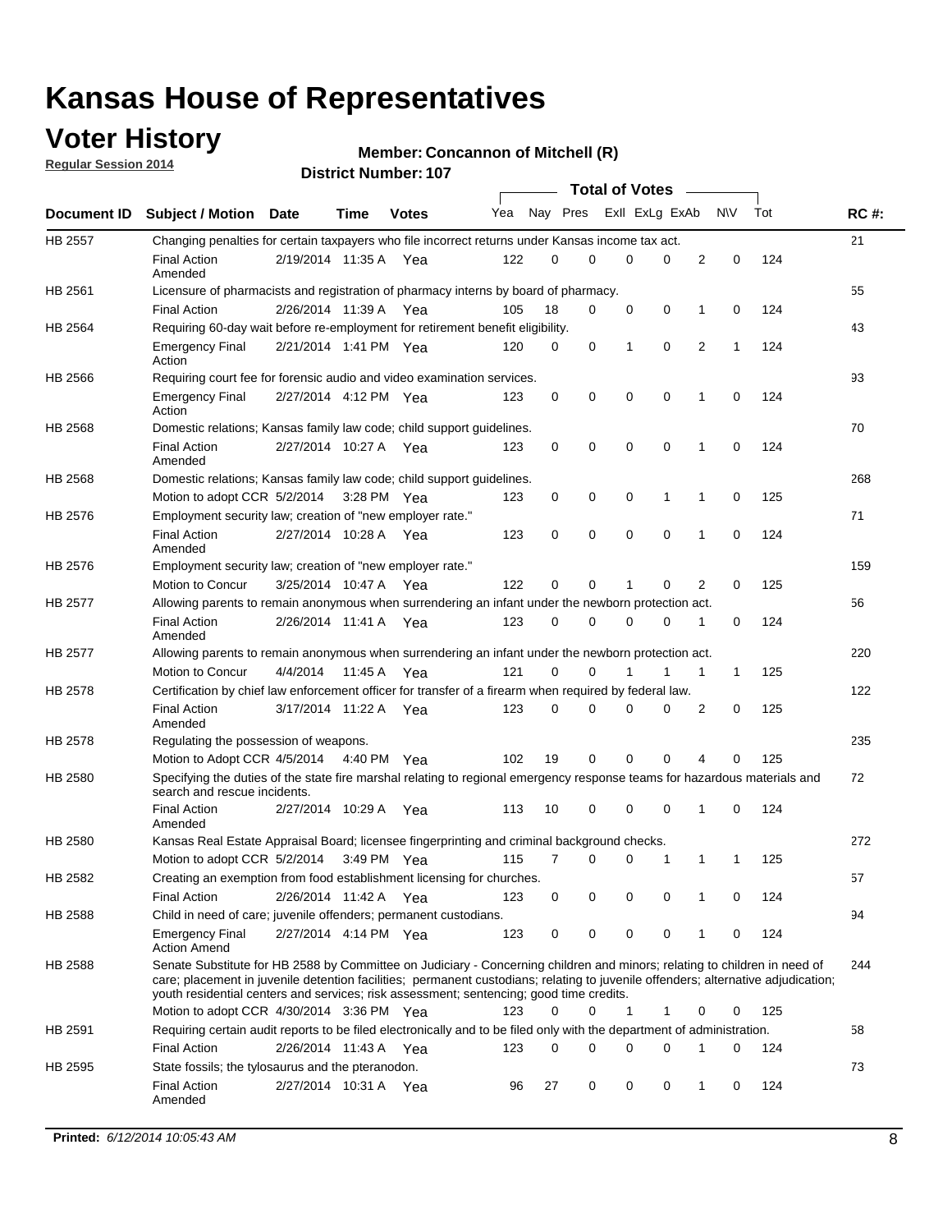## **Voter History**

**Regular Session 2014**

#### **Member: Concannon of Mitchell (R)**

|                |                                                                                                                                                                                                                                                                                                                                                           |                       |             |              |     |          |          | <b>Total of Votes</b> |             |              |             |     |             |
|----------------|-----------------------------------------------------------------------------------------------------------------------------------------------------------------------------------------------------------------------------------------------------------------------------------------------------------------------------------------------------------|-----------------------|-------------|--------------|-----|----------|----------|-----------------------|-------------|--------------|-------------|-----|-------------|
|                | Document ID Subject / Motion Date                                                                                                                                                                                                                                                                                                                         |                       | Time        | <b>Votes</b> | Yea | Nay Pres |          | Exll ExLg ExAb        |             |              | N\V         | Tot | <b>RC#:</b> |
| HB 2557        | Changing penalties for certain taxpayers who file incorrect returns under Kansas income tax act.                                                                                                                                                                                                                                                          |                       |             |              |     |          |          |                       |             |              |             |     | 21          |
|                | <b>Final Action</b><br>Amended                                                                                                                                                                                                                                                                                                                            | 2/19/2014 11:35 A     |             | Yea          | 122 | 0        | 0        | 0                     | 0           | 2            | $\mathbf 0$ | 124 |             |
| HB 2561        | Licensure of pharmacists and registration of pharmacy interns by board of pharmacy.                                                                                                                                                                                                                                                                       |                       |             |              |     |          |          |                       |             |              |             |     | 55          |
|                | <b>Final Action</b>                                                                                                                                                                                                                                                                                                                                       | 2/26/2014 11:39 A Yea |             |              | 105 | 18       | 0        | 0                     | 0           | 1            | 0           | 124 |             |
| HB 2564        | Requiring 60-day wait before re-employment for retirement benefit eligibility.                                                                                                                                                                                                                                                                            |                       |             |              |     |          |          |                       |             |              |             |     | 43          |
|                | <b>Emergency Final</b><br>Action                                                                                                                                                                                                                                                                                                                          | 2/21/2014 1:41 PM Yea |             |              | 120 | 0        | 0        | 1                     | 0           | 2            | 1           | 124 |             |
| HB 2566        | Requiring court fee for forensic audio and video examination services.                                                                                                                                                                                                                                                                                    |                       |             |              |     |          |          |                       |             |              |             |     | 93          |
|                | <b>Emergency Final</b><br>Action                                                                                                                                                                                                                                                                                                                          | 2/27/2014 4:12 PM Yea |             |              | 123 | 0        | 0        | $\mathbf 0$           | $\mathbf 0$ | $\mathbf{1}$ | 0           | 124 |             |
| HB 2568        | Domestic relations; Kansas family law code; child support guidelines.                                                                                                                                                                                                                                                                                     |                       |             |              |     |          |          |                       |             |              |             |     | 70          |
|                | <b>Final Action</b><br>Amended                                                                                                                                                                                                                                                                                                                            | 2/27/2014 10:27 A     |             | Yea          | 123 | 0        | 0        | 0                     | $\mathbf 0$ | 1            | 0           | 124 |             |
| HB 2568        | Domestic relations; Kansas family law code; child support guidelines.                                                                                                                                                                                                                                                                                     |                       |             |              |     |          |          |                       |             |              |             |     | 268         |
|                | Motion to adopt CCR 5/2/2014                                                                                                                                                                                                                                                                                                                              |                       | 3:28 PM Yea |              | 123 | 0        | 0        | 0                     | 1           | 1            | 0           | 125 |             |
| HB 2576        | Employment security law; creation of "new employer rate."                                                                                                                                                                                                                                                                                                 |                       |             |              |     |          |          |                       |             |              |             |     | 71          |
|                | <b>Final Action</b><br>Amended                                                                                                                                                                                                                                                                                                                            | 2/27/2014 10:28 A     |             | Yea          | 123 | 0        | 0        | 0                     | $\mathbf 0$ | 1            | 0           | 124 |             |
| HB 2576        | Employment security law; creation of "new employer rate."                                                                                                                                                                                                                                                                                                 |                       |             |              |     |          |          |                       |             |              |             |     | 159         |
|                | Motion to Concur                                                                                                                                                                                                                                                                                                                                          | 3/25/2014 10:47 A     |             | Yea          | 122 | 0        | 0        | 1                     | 0           | 2            | 0           | 125 |             |
| <b>HB 2577</b> | Allowing parents to remain anonymous when surrendering an infant under the newborn protection act.                                                                                                                                                                                                                                                        |                       |             |              |     |          |          |                       |             |              |             |     | 56          |
|                | <b>Final Action</b><br>Amended                                                                                                                                                                                                                                                                                                                            | 2/26/2014 11:41 A Yea |             |              | 123 | 0        | $\Omega$ | 0                     | 0           | 1            | 0           | 124 |             |
| HB 2577        | Allowing parents to remain anonymous when surrendering an infant under the newborn protection act.                                                                                                                                                                                                                                                        |                       |             |              |     |          |          |                       |             |              |             |     | 220         |
|                | Motion to Concur                                                                                                                                                                                                                                                                                                                                          | 4/4/2014              | 11:45 A     | Yea          | 121 | 0        | 0        |                       | 1           | 1            | $\mathbf 1$ | 125 |             |
| HB 2578        | Certification by chief law enforcement officer for transfer of a firearm when required by federal law.                                                                                                                                                                                                                                                    |                       |             |              |     |          |          |                       |             |              |             |     | 122         |
|                | <b>Final Action</b><br>Amended                                                                                                                                                                                                                                                                                                                            | 3/17/2014 11:22 A     |             | Yea          | 123 | 0        | 0        | $\Omega$              | $\Omega$    | 2            | 0           | 125 |             |
| HB 2578        | Regulating the possession of weapons.                                                                                                                                                                                                                                                                                                                     |                       |             |              |     |          |          |                       |             |              |             |     | 235         |
|                | Motion to Adopt CCR 4/5/2014 4:40 PM Yea                                                                                                                                                                                                                                                                                                                  |                       |             |              | 102 | 19       | 0        | 0                     | 0           | 4            | 0           | 125 |             |
| HB 2580        | Specifying the duties of the state fire marshal relating to regional emergency response teams for hazardous materials and<br>search and rescue incidents.                                                                                                                                                                                                 |                       |             |              |     |          |          |                       |             |              |             |     | 72          |
|                | <b>Final Action</b><br>Amended                                                                                                                                                                                                                                                                                                                            | 2/27/2014 10:29 A     |             | Yea          | 113 | 10       | 0        | $\mathbf 0$           | $\mathbf 0$ | 1            | 0           | 124 |             |
| HB 2580        | Kansas Real Estate Appraisal Board; licensee fingerprinting and criminal background checks.                                                                                                                                                                                                                                                               |                       |             |              |     |          |          |                       |             |              |             |     | 272         |
|                | Motion to adopt CCR 5/2/2014                                                                                                                                                                                                                                                                                                                              |                       | 3:49 PM Yea |              | 115 | 7        | 0        | 0                     | 1           | 1            | 1           | 125 |             |
| HB 2582        | Creating an exemption from food establishment licensing for churches.                                                                                                                                                                                                                                                                                     |                       |             |              |     |          |          |                       |             |              |             |     | 57          |
|                | <b>Final Action</b>                                                                                                                                                                                                                                                                                                                                       | 2/26/2014 11:42 A Yea |             |              | 123 | 0        | 0        | 0                     | 0           |              | 0           | 124 |             |
| HB 2588        | Child in need of care; juvenile offenders; permanent custodians.                                                                                                                                                                                                                                                                                          |                       |             |              |     |          |          |                       |             |              |             |     | 94          |
|                | <b>Emergency Final</b><br><b>Action Amend</b>                                                                                                                                                                                                                                                                                                             | 2/27/2014 4:14 PM Yea |             |              | 123 | 0        | 0        | 0                     | 0           | 1            | 0           | 124 |             |
| HB 2588        | Senate Substitute for HB 2588 by Committee on Judiciary - Concerning children and minors; relating to children in need of<br>care; placement in juvenile detention facilities; permanent custodians; relating to juvenile offenders; alternative adjudication;<br>youth residential centers and services; risk assessment; sentencing; good time credits. |                       |             |              |     |          |          |                       |             |              |             |     | 244         |
|                | Motion to adopt CCR 4/30/2014 3:36 PM Yea                                                                                                                                                                                                                                                                                                                 |                       |             |              | 123 | 0        | 0        | 1                     | 1           | 0            | 0           | 125 |             |
| HB 2591        | Requiring certain audit reports to be filed electronically and to be filed only with the department of administration.                                                                                                                                                                                                                                    |                       |             |              |     |          |          |                       |             |              |             |     | 58          |
|                | <b>Final Action</b>                                                                                                                                                                                                                                                                                                                                       | 2/26/2014 11:43 A Yea |             |              | 123 | 0        | 0        | 0                     | 0           | 1            | 0           | 124 |             |
| HB 2595        | State fossils; the tylosaurus and the pteranodon.                                                                                                                                                                                                                                                                                                         |                       |             |              |     |          |          |                       |             |              |             |     | 73          |
|                | <b>Final Action</b><br>Amended                                                                                                                                                                                                                                                                                                                            | 2/27/2014 10:31 A Yea |             |              | 96  | 27       | 0        | 0                     | 0           | 1            | 0           | 124 |             |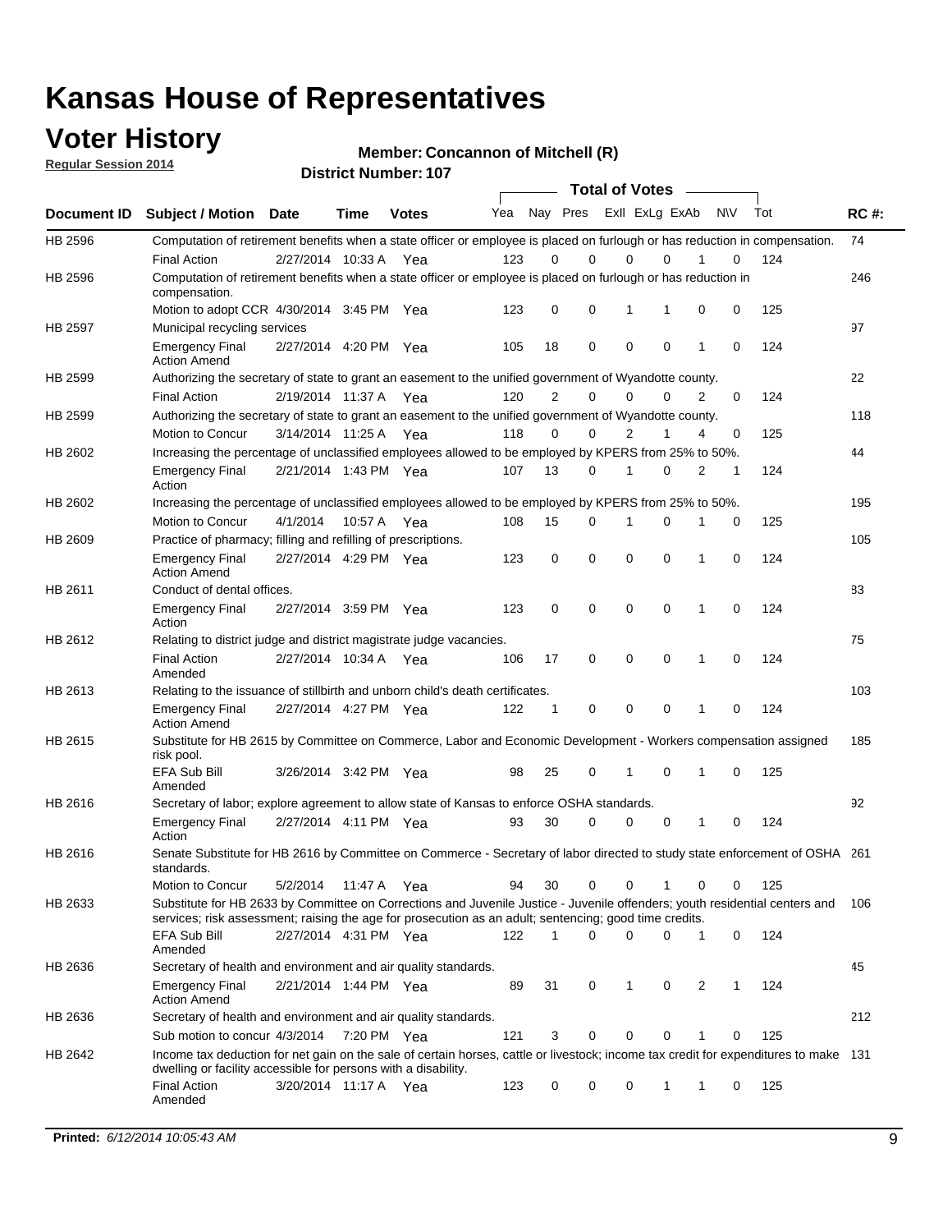### **Voter History**

**Regular Session 2014**

**Member: Concannon of Mitchell (R)** 

|                |                                                                                                                                                                                                                                       |                       |             | <b>DISTRICT MAILIDEL. TO</b> |     |                |             |             | <b>Total of Votes</b> |   |           |     |             |
|----------------|---------------------------------------------------------------------------------------------------------------------------------------------------------------------------------------------------------------------------------------|-----------------------|-------------|------------------------------|-----|----------------|-------------|-------------|-----------------------|---|-----------|-----|-------------|
| Document ID    | <b>Subject / Motion</b>                                                                                                                                                                                                               | <b>Date</b>           | Time        | <b>Votes</b>                 | Yea |                | Nay Pres    |             | Exll ExLg ExAb        |   | <b>NV</b> | Tot | <b>RC#:</b> |
| HB 2596        | Computation of retirement benefits when a state officer or employee is placed on furlough or has reduction in compensation.                                                                                                           |                       |             |                              |     |                |             |             |                       |   |           |     | 74          |
|                | <b>Final Action</b>                                                                                                                                                                                                                   | 2/27/2014 10:33 A     |             | Yea                          | 123 | 0              | $\Omega$    |             | 0<br>$\Omega$         |   | 0         | 124 |             |
| HB 2596        | Computation of retirement benefits when a state officer or employee is placed on furlough or has reduction in<br>compensation.                                                                                                        |                       |             |                              |     |                |             |             |                       |   |           |     | 246         |
|                | Motion to adopt CCR 4/30/2014 3:45 PM Yea                                                                                                                                                                                             |                       |             |                              | 123 | 0              | 0           | 1           | 1                     | 0 | 0         | 125 |             |
| <b>HB 2597</b> | Municipal recycling services                                                                                                                                                                                                          |                       |             |                              |     |                |             |             |                       |   |           |     | 97          |
|                | <b>Emergency Final</b><br><b>Action Amend</b>                                                                                                                                                                                         | 2/27/2014 4:20 PM Yea |             |                              | 105 | 18             | $\mathbf 0$ | $\mathbf 0$ | $\mathbf 0$           | 1 | 0         | 124 |             |
| HB 2599        | Authorizing the secretary of state to grant an easement to the unified government of Wyandotte county.                                                                                                                                |                       |             |                              |     |                |             |             |                       |   |           |     | 22          |
|                | <b>Final Action</b>                                                                                                                                                                                                                   | 2/19/2014 11:37 A     |             | Yea                          | 120 | $\overline{2}$ | $\mathbf 0$ |             | 0<br>$\Omega$         | 2 | 0         | 124 |             |
| HB 2599        | Authorizing the secretary of state to grant an easement to the unified government of Wyandotte county.                                                                                                                                |                       |             |                              |     |                |             |             |                       |   |           |     | 118         |
|                | Motion to Concur                                                                                                                                                                                                                      | 3/14/2014 11:25 A     |             | Yea                          | 118 | $\Omega$       | 0           |             | $\overline{2}$<br>1   | 4 | 0         | 125 |             |
| HB 2602        | Increasing the percentage of unclassified employees allowed to be employed by KPERS from 25% to 50%.                                                                                                                                  |                       |             |                              |     |                |             |             |                       |   |           |     | 44          |
|                | <b>Emergency Final</b><br>Action                                                                                                                                                                                                      | 2/21/2014 1:43 PM Yea |             |                              | 107 | 13             | 0           | 1           | $\Omega$              | 2 | 1         | 124 |             |
| HB 2602        | Increasing the percentage of unclassified employees allowed to be employed by KPERS from 25% to 50%.                                                                                                                                  |                       |             |                              |     |                |             |             |                       |   |           |     | 195         |
|                | Motion to Concur                                                                                                                                                                                                                      | 4/1/2014              | 10:57 A Yea |                              | 108 | 15             | 0           | 1           | 0                     | 1 | 0         | 125 |             |
| HB 2609        | Practice of pharmacy; filling and refilling of prescriptions.                                                                                                                                                                         |                       |             |                              |     |                |             |             |                       |   |           |     | 105         |
|                | <b>Emergency Final</b><br><b>Action Amend</b>                                                                                                                                                                                         | 2/27/2014 4:29 PM Yea |             |                              | 123 | 0              | $\mathbf 0$ | $\mathbf 0$ | $\Omega$              | 1 | 0         | 124 |             |
| HB 2611        | Conduct of dental offices.                                                                                                                                                                                                            |                       |             |                              |     |                |             |             |                       |   |           |     | 83          |
|                | <b>Emergency Final</b><br>Action                                                                                                                                                                                                      | 2/27/2014 3:59 PM Yea |             |                              | 123 | 0              | $\mathbf 0$ | $\mathbf 0$ | $\mathbf 0$           | 1 | 0         | 124 |             |
| HB 2612        | Relating to district judge and district magistrate judge vacancies.                                                                                                                                                                   |                       |             |                              |     |                |             |             |                       |   |           |     | 75          |
|                | <b>Final Action</b><br>Amended                                                                                                                                                                                                        | 2/27/2014 10:34 A     |             | Yea                          | 106 | 17             | $\mathbf 0$ | $\mathbf 0$ | $\mathbf 0$           | 1 | 0         | 124 |             |
| HB 2613        | Relating to the issuance of stillbirth and unborn child's death certificates.                                                                                                                                                         |                       |             |                              |     |                |             |             |                       |   |           |     | 103         |
|                | <b>Emergency Final</b><br><b>Action Amend</b>                                                                                                                                                                                         | 2/27/2014 4:27 PM Yea |             |                              | 122 | 1              | 0           | $\mathbf 0$ | $\Omega$              | 1 | 0         | 124 |             |
| HB 2615        | Substitute for HB 2615 by Committee on Commerce, Labor and Economic Development - Workers compensation assigned<br>risk pool.                                                                                                         |                       |             |                              |     |                |             |             |                       |   |           |     | 185         |
|                | EFA Sub Bill<br>Amended                                                                                                                                                                                                               | 3/26/2014 3:42 PM Yea |             |                              | 98  | 25             | 0           | 1           | $\mathbf 0$           | 1 | 0         | 125 |             |
| HB 2616        | Secretary of labor; explore agreement to allow state of Kansas to enforce OSHA standards.                                                                                                                                             |                       |             |                              |     |                |             |             |                       |   |           |     | 92          |
|                | <b>Emergency Final</b><br>Action                                                                                                                                                                                                      | 2/27/2014 4:11 PM Yea |             |                              | 93  | 30             | 0           |             | 0<br>0                | 1 | 0         | 124 |             |
| HB 2616        | Senate Substitute for HB 2616 by Committee on Commerce - Secretary of labor directed to study state enforcement of OSHA 261<br>standards.                                                                                             |                       |             |                              |     |                |             |             |                       |   |           |     |             |
|                | Motion to Concur                                                                                                                                                                                                                      | 5/2/2014              | 11:47 A Yea |                              | 94  | 30             | 0           |             | 0<br>1                | 0 | 0         | 125 |             |
| HB 2633        | Substitute for HB 2633 by Committee on Corrections and Juvenile Justice - Juvenile offenders; youth residential centers and<br>services; risk assessment; raising the age for prosecution as an adult; sentencing; good time credits. |                       |             |                              |     |                |             |             |                       |   |           |     | 106         |
|                | EFA Sub Bill<br>Amended                                                                                                                                                                                                               | 2/27/2014 4:31 PM Yea |             |                              | 122 | 1              | 0           | $\mathbf 0$ | 0                     | 1 | 0         | 124 |             |
| HB 2636        | Secretary of health and environment and air quality standards.                                                                                                                                                                        |                       |             |                              |     |                |             |             |                       |   |           |     | 45          |
|                | <b>Emergency Final</b><br><b>Action Amend</b>                                                                                                                                                                                         | 2/21/2014 1:44 PM Yea |             |                              | 89  | 31             | 0           | 1           | 0                     | 2 | 1         | 124 |             |
| HB 2636        | Secretary of health and environment and air quality standards.                                                                                                                                                                        |                       |             |                              |     |                |             |             |                       |   |           |     | 212         |
|                | Sub motion to concur 4/3/2014                                                                                                                                                                                                         |                       | 7:20 PM Yea |                              | 121 | 3              | 0           | 0           | 0                     |   | 0         | 125 |             |
| HB 2642        | Income tax deduction for net gain on the sale of certain horses, cattle or livestock; income tax credit for expenditures to make 131                                                                                                  |                       |             |                              |     |                |             |             |                       |   |           |     |             |
|                | dwelling or facility accessible for persons with a disability.<br><b>Final Action</b>                                                                                                                                                 | 3/20/2014 11:17 A Yea |             |                              | 123 | 0              | 0           | 0           | 1                     | 1 | 0         | 125 |             |
|                | Amended                                                                                                                                                                                                                               |                       |             |                              |     |                |             |             |                       |   |           |     |             |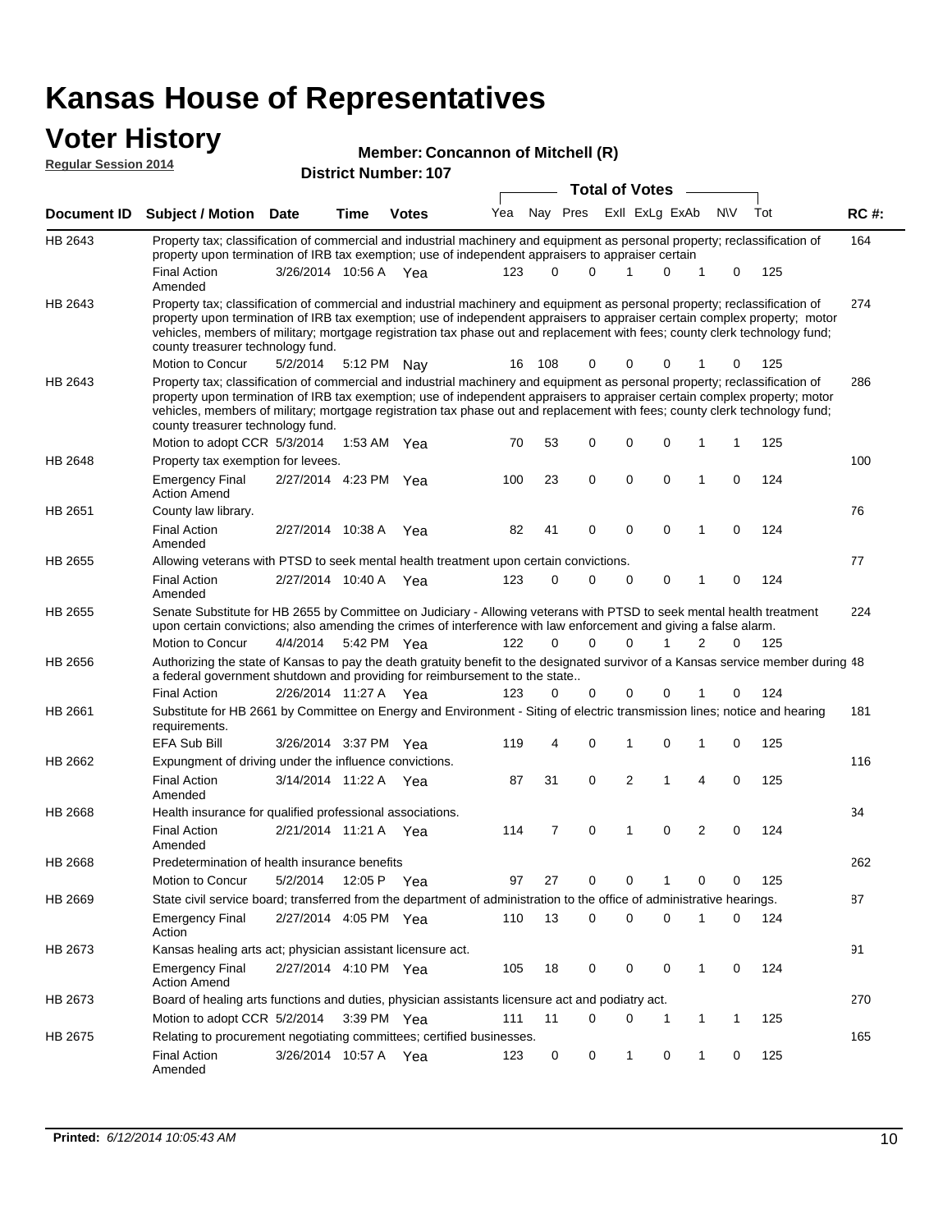### **Voter History Regular Session 2014**

#### **Member: Concannon of Mitchell (R)**

|                | <b>DISTRICT MAILINGL. TO</b><br><b>Total of Votes</b>                                                                                                                                                                                                                                                                                                                                                                         |                       |             |              |     |     |             |  |                |             |                |     |     |             |
|----------------|-------------------------------------------------------------------------------------------------------------------------------------------------------------------------------------------------------------------------------------------------------------------------------------------------------------------------------------------------------------------------------------------------------------------------------|-----------------------|-------------|--------------|-----|-----|-------------|--|----------------|-------------|----------------|-----|-----|-------------|
|                | Document ID Subject / Motion Date                                                                                                                                                                                                                                                                                                                                                                                             |                       | <b>Time</b> | <b>Votes</b> | Yea |     | Nay Pres    |  | Exll ExLg ExAb |             |                | N\V | Tot | <b>RC#:</b> |
| HB 2643        | Property tax; classification of commercial and industrial machinery and equipment as personal property; reclassification of<br>property upon termination of IRB tax exemption; use of independent appraisers to appraiser certain                                                                                                                                                                                             |                       |             |              |     |     |             |  |                |             |                |     |     | 164         |
|                | <b>Final Action</b><br>Amended                                                                                                                                                                                                                                                                                                                                                                                                | 3/26/2014 10:56 A Yea |             |              | 123 | 0   | 0           |  | 1              | 0           | 1              | 0   | 125 |             |
| HB 2643        | Property tax; classification of commercial and industrial machinery and equipment as personal property; reclassification of<br>property upon termination of IRB tax exemption; use of independent appraisers to appraiser certain complex property; motor<br>vehicles, members of military; mortgage registration tax phase out and replacement with fees; county clerk technology fund;<br>county treasurer technology fund. |                       |             |              |     |     |             |  |                |             |                |     |     | 274         |
|                | Motion to Concur                                                                                                                                                                                                                                                                                                                                                                                                              | 5/2/2014              |             | 5:12 PM Nay  | 16  | 108 | 0           |  | $\Omega$       | 0           | 1              | 0   | 125 |             |
| HB 2643        | Property tax; classification of commercial and industrial machinery and equipment as personal property; reclassification of<br>property upon termination of IRB tax exemption; use of independent appraisers to appraiser certain complex property; motor<br>vehicles, members of military; mortgage registration tax phase out and replacement with fees; county clerk technology fund;<br>county treasurer technology fund. |                       |             |              |     |     |             |  |                |             |                |     |     | 286         |
|                | Motion to adopt CCR 5/3/2014                                                                                                                                                                                                                                                                                                                                                                                                  |                       |             | 1:53 AM Yea  | 70  | 53  | 0           |  | $\mathbf 0$    | 0           | 1              | 1   | 125 |             |
| HB 2648        | Property tax exemption for levees.                                                                                                                                                                                                                                                                                                                                                                                            |                       |             |              |     |     |             |  |                |             |                |     |     | 100         |
|                | <b>Emergency Final</b><br><b>Action Amend</b>                                                                                                                                                                                                                                                                                                                                                                                 | 2/27/2014 4:23 PM Yea |             |              | 100 | 23  | $\mathbf 0$ |  | $\mathbf 0$    | 0           | 1              | 0   | 124 |             |
| HB 2651        | County law library.                                                                                                                                                                                                                                                                                                                                                                                                           |                       |             |              |     |     |             |  |                |             |                |     |     | 76          |
|                | <b>Final Action</b><br>Amended                                                                                                                                                                                                                                                                                                                                                                                                | 2/27/2014 10:38 A     |             | Yea          | 82  | 41  | 0           |  | $\mathbf 0$    | 0           | 1              | 0   | 124 |             |
| HB 2655        | Allowing veterans with PTSD to seek mental health treatment upon certain convictions.                                                                                                                                                                                                                                                                                                                                         |                       |             |              |     |     |             |  |                |             |                |     |     | 77          |
|                | <b>Final Action</b><br>Amended                                                                                                                                                                                                                                                                                                                                                                                                | 2/27/2014 10:40 A     |             | Yea          | 123 | 0   | 0           |  | 0              | 0           | 1              | 0   | 124 |             |
| HB 2655        | Senate Substitute for HB 2655 by Committee on Judiciary - Allowing veterans with PTSD to seek mental health treatment<br>upon certain convictions; also amending the crimes of interference with law enforcement and giving a false alarm.<br>Motion to Concur                                                                                                                                                                | 4/4/2014              |             | 5:42 PM Yea  | 122 | 0   | 0           |  | $\Omega$       |             | 2              | 0   | 125 | 224         |
|                |                                                                                                                                                                                                                                                                                                                                                                                                                               |                       |             |              |     |     |             |  |                |             |                |     |     |             |
| HB 2656        | Authorizing the state of Kansas to pay the death gratuity benefit to the designated survivor of a Kansas service member during 48<br>a federal government shutdown and providing for reimbursement to the state                                                                                                                                                                                                               |                       |             |              |     |     |             |  |                |             |                |     |     |             |
|                | <b>Final Action</b>                                                                                                                                                                                                                                                                                                                                                                                                           | 2/26/2014 11:27 A Yea |             |              | 123 | 0   | 0           |  | $\mathbf 0$    | 0           |                | 0   | 124 |             |
| HB 2661        | Substitute for HB 2661 by Committee on Energy and Environment - Siting of electric transmission lines; notice and hearing<br>requirements.                                                                                                                                                                                                                                                                                    |                       |             |              |     |     |             |  |                |             |                |     |     | 181         |
|                | <b>EFA Sub Bill</b>                                                                                                                                                                                                                                                                                                                                                                                                           | 3/26/2014 3:37 PM Yea |             |              | 119 | 4   | 0           |  | 1              | 0           | 1              | 0   | 125 |             |
| HB 2662        | Expungment of driving under the influence convictions.                                                                                                                                                                                                                                                                                                                                                                        |                       |             |              |     |     |             |  |                |             |                |     |     | 116         |
|                | <b>Final Action</b><br>Amended                                                                                                                                                                                                                                                                                                                                                                                                | 3/14/2014 11:22 A Yea |             |              | 87  | 31  | 0           |  | $\overline{2}$ | 1           | 4              | 0   | 125 |             |
| <b>HB 2668</b> | Health insurance for qualified professional associations.                                                                                                                                                                                                                                                                                                                                                                     |                       |             |              |     |     |             |  |                |             |                |     |     | 34          |
|                | <b>Final Action</b><br>Amended                                                                                                                                                                                                                                                                                                                                                                                                | 2/21/2014 11:21 A Yea |             |              | 114 | 7   | $\mathbf 0$ |  | 1              | $\mathbf 0$ | $\overline{2}$ | 0   | 124 |             |
| HB 2668        | Predetermination of health insurance benefits                                                                                                                                                                                                                                                                                                                                                                                 |                       |             |              |     |     |             |  |                |             |                |     |     | 262         |
|                | Motion to Concur                                                                                                                                                                                                                                                                                                                                                                                                              | 5/2/2014              | 12:05 P Yea |              | 97  | 27  | 0           |  | 0              | 1           | 0              | 0   | 125 |             |
| HB 2669        | State civil service board; transferred from the department of administration to the office of administrative hearings.                                                                                                                                                                                                                                                                                                        |                       |             |              |     |     |             |  |                |             |                |     |     | 87          |
|                | <b>Emergency Final</b><br>Action                                                                                                                                                                                                                                                                                                                                                                                              | 2/27/2014 4:05 PM Yea |             |              | 110 | 13  | 0           |  | $\mathbf 0$    | 0           | 1              | 0   | 124 |             |
| HB 2673        | Kansas healing arts act; physician assistant licensure act.                                                                                                                                                                                                                                                                                                                                                                   |                       |             |              |     |     |             |  |                |             |                |     |     | 91          |
|                | <b>Emergency Final</b><br><b>Action Amend</b>                                                                                                                                                                                                                                                                                                                                                                                 | 2/27/2014 4:10 PM Yea |             |              | 105 | 18  | 0           |  | 0              | 0           | $\mathbf{1}$   | 0   | 124 |             |
| HB 2673        | Board of healing arts functions and duties, physician assistants licensure act and podiatry act.                                                                                                                                                                                                                                                                                                                              |                       |             |              |     |     |             |  |                |             |                |     |     | 270         |
|                | Motion to adopt CCR 5/2/2014                                                                                                                                                                                                                                                                                                                                                                                                  |                       |             | 3:39 PM Yea  | 111 | 11  | 0           |  | 0              | 1           | 1              | 1   | 125 |             |
| HB 2675        | Relating to procurement negotiating committees; certified businesses.                                                                                                                                                                                                                                                                                                                                                         |                       |             |              |     |     |             |  |                |             |                |     |     | 165         |
|                | <b>Final Action</b><br>Amended                                                                                                                                                                                                                                                                                                                                                                                                | 3/26/2014 10:57 A Yea |             |              | 123 | 0   | 0           |  | 1              | 0           | 1              | 0   | 125 |             |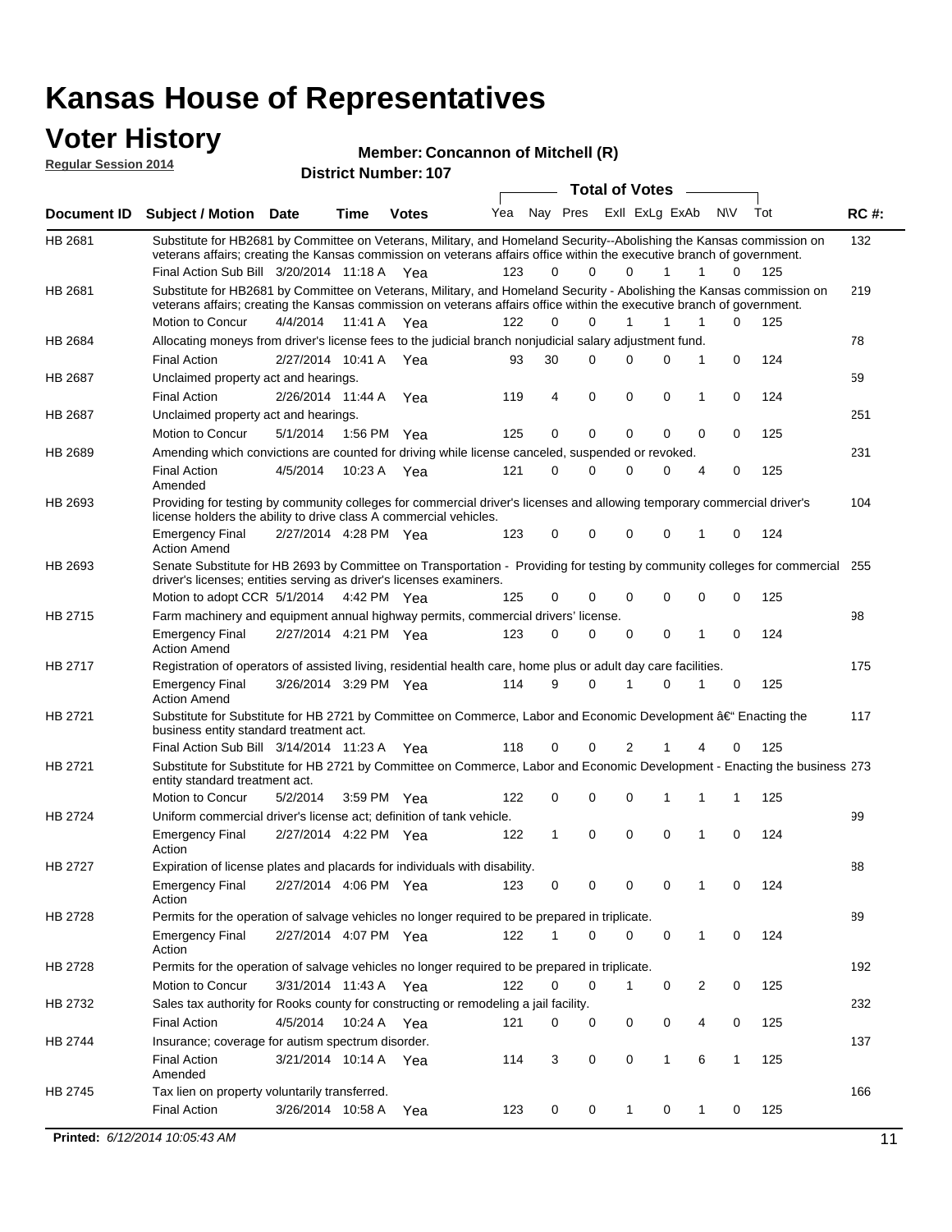### **Voter History**

**Regular Session 2014**

#### **Member: Concannon of Mitchell (R)**

| <b>District Number: 107</b> |  |
|-----------------------------|--|
|                             |  |

|                |                                                                                                                                                                                                  |                       |             |              |     |              |          | <b>Total of Votes</b> |              | $\sim$         |             |     |             |
|----------------|--------------------------------------------------------------------------------------------------------------------------------------------------------------------------------------------------|-----------------------|-------------|--------------|-----|--------------|----------|-----------------------|--------------|----------------|-------------|-----|-------------|
|                | Document ID Subject / Motion Date                                                                                                                                                                |                       | Time        | <b>Votes</b> | Yea | Nay Pres     |          | Exll ExLg ExAb        |              |                | <b>NV</b>   | Tot | <b>RC#:</b> |
| HB 2681        | Substitute for HB2681 by Committee on Veterans, Military, and Homeland Security--Abolishing the Kansas commission on                                                                             |                       |             |              |     |              |          |                       |              |                |             |     | 132         |
|                | veterans affairs; creating the Kansas commission on veterans affairs office within the executive branch of government.                                                                           |                       |             |              |     |              |          |                       |              |                |             |     |             |
|                | Final Action Sub Bill 3/20/2014 11:18 A Yea                                                                                                                                                      |                       |             |              | 123 | 0            | $\Omega$ | $\Omega$              | $\mathbf{1}$ | $\mathbf{1}$   | 0           | 125 |             |
| HB 2681        | Substitute for HB2681 by Committee on Veterans, Military, and Homeland Security - Abolishing the Kansas commission on                                                                            |                       |             |              |     |              |          |                       |              |                |             |     | 219         |
|                | veterans affairs; creating the Kansas commission on veterans affairs office within the executive branch of government.<br>Motion to Concur                                                       | 4/4/2014 11:41 A Yea  |             |              | 122 | 0            | 0        |                       | 1            | 1              | 0           | 125 |             |
| HB 2684        | Allocating moneys from driver's license fees to the judicial branch nonjudicial salary adjustment fund.                                                                                          |                       |             |              |     |              |          |                       |              |                |             |     | 78          |
|                | <b>Final Action</b>                                                                                                                                                                              | 2/27/2014 10:41 A Yea |             |              | 93  | 30           | $\Omega$ | $\Omega$              | $\Omega$     | 1              | 0           | 124 |             |
| HB 2687        | Unclaimed property act and hearings.                                                                                                                                                             |                       |             |              |     |              |          |                       |              |                |             |     | 59          |
|                | <b>Final Action</b>                                                                                                                                                                              | 2/26/2014 11:44 A     |             | Yea          | 119 | 4            | 0        | 0                     | 0            | 1              | 0           | 124 |             |
| HB 2687        | Unclaimed property act and hearings.                                                                                                                                                             |                       |             |              |     |              |          |                       |              |                |             |     | 251         |
|                | Motion to Concur                                                                                                                                                                                 | 5/1/2014              | 1:56 PM Yea |              | 125 | 0            | 0        | 0                     | $\mathbf{0}$ | 0              | 0           | 125 |             |
| <b>HB 2689</b> | Amending which convictions are counted for driving while license canceled, suspended or revoked.                                                                                                 |                       |             |              |     |              |          |                       |              |                |             |     | 231         |
|                | <b>Final Action</b>                                                                                                                                                                              | 4/5/2014              |             |              | 121 | 0            | 0        | $\Omega$              | 0            | $\overline{4}$ | 0           | 125 |             |
|                | Amended                                                                                                                                                                                          |                       | 10:23 A Yea |              |     |              |          |                       |              |                |             |     |             |
| HB 2693        | Providing for testing by community colleges for commercial driver's licenses and allowing temporary commercial driver's                                                                          |                       |             |              |     |              |          |                       |              |                |             |     | 104         |
|                | license holders the ability to drive class A commercial vehicles.                                                                                                                                |                       |             |              |     |              |          |                       |              |                |             |     |             |
|                | <b>Emergency Final</b>                                                                                                                                                                           | 2/27/2014 4:28 PM Yea |             |              | 123 | 0            | 0        | 0                     | 0            | 1              | 0           | 124 |             |
|                | <b>Action Amend</b>                                                                                                                                                                              |                       |             |              |     |              |          |                       |              |                |             |     |             |
| HB 2693        | Senate Substitute for HB 2693 by Committee on Transportation - Providing for testing by community colleges for commercial<br>driver's licenses; entities serving as driver's licenses examiners. |                       |             |              |     |              |          |                       |              |                |             |     | 255         |
|                | Motion to adopt CCR 5/1/2014 4:42 PM Yea                                                                                                                                                         |                       |             |              | 125 | 0            | 0        | $\Omega$              | 0            | $\mathbf 0$    | 0           | 125 |             |
| HB 2715        | Farm machinery and equipment annual highway permits, commercial drivers' license.                                                                                                                |                       |             |              |     |              |          |                       |              |                |             |     | 98          |
|                | <b>Emergency Final</b>                                                                                                                                                                           | 2/27/2014 4:21 PM Yea |             |              | 123 | 0            | $\Omega$ | $\Omega$              | 0            | 1              | 0           | 124 |             |
|                | <b>Action Amend</b>                                                                                                                                                                              |                       |             |              |     |              |          |                       |              |                |             |     |             |
| HB 2717        | Registration of operators of assisted living, residential health care, home plus or adult day care facilities.                                                                                   |                       |             |              |     |              |          |                       |              |                |             |     | 175         |
|                | <b>Emergency Final</b><br><b>Action Amend</b>                                                                                                                                                    | 3/26/2014 3:29 PM Yea |             |              | 114 | 9            | $\Omega$ | 1                     | 0            | 1              | 0           | 125 |             |
| HB 2721        | Substitute for Substitute for HB 2721 by Committee on Commerce, Labor and Economic Development â€ <sup>4</sup> Enacting the                                                                      |                       |             |              |     |              |          |                       |              |                |             |     | 117         |
|                | business entity standard treatment act.                                                                                                                                                          |                       |             |              |     |              |          |                       |              |                |             |     |             |
|                | Final Action Sub Bill 3/14/2014 11:23 A Yea                                                                                                                                                      |                       |             |              | 118 | 0            | 0        | 2                     | 1            | 4              | 0           | 125 |             |
| HB 2721        | Substitute for Substitute for HB 2721 by Committee on Commerce, Labor and Economic Development - Enacting the business 273<br>entity standard treatment act.                                     |                       |             |              |     |              |          |                       |              |                |             |     |             |
|                | Motion to Concur                                                                                                                                                                                 | 5/2/2014              | 3:59 PM Yea |              | 122 | 0            | 0        | 0                     | 1            | 1              | 1           | 125 |             |
| HB 2724        | Uniform commercial driver's license act; definition of tank vehicle.                                                                                                                             |                       |             |              |     |              |          |                       |              |                |             |     | 99          |
|                | <b>Emergency Final</b><br>Action                                                                                                                                                                 | 2/27/2014 4:22 PM Yea |             |              | 122 | $\mathbf{1}$ | 0        | 0                     | 0            | 1              | $\mathbf 0$ | 124 |             |
| HB 2727        | Expiration of license plates and placards for individuals with disability.                                                                                                                       |                       |             |              |     |              |          |                       |              |                |             |     | 88          |
|                | <b>Emergency Final</b><br>Action                                                                                                                                                                 | 2/27/2014 4:06 PM Yea |             |              | 123 | 0            | 0        | 0                     | 0            | $\mathbf{1}$   | 0           | 124 |             |
| HB 2728        | Permits for the operation of salvage vehicles no longer required to be prepared in triplicate.                                                                                                   |                       |             |              |     |              |          |                       |              |                |             |     | 89          |
|                | <b>Emergency Final</b><br>Action                                                                                                                                                                 | 2/27/2014 4:07 PM Yea |             |              | 122 | 1            | 0        | 0                     | 0            | 1              | 0           | 124 |             |
| HB 2728        | Permits for the operation of salvage vehicles no longer required to be prepared in triplicate.                                                                                                   |                       |             |              |     |              |          |                       |              |                |             |     | 192         |
|                | Motion to Concur                                                                                                                                                                                 | 3/31/2014 11:43 A Yea |             |              | 122 | 0            | 0        | 1                     | 0            | 2              | 0           | 125 |             |
| HB 2732        | Sales tax authority for Rooks county for constructing or remodeling a jail facility.                                                                                                             |                       |             |              |     |              |          |                       |              |                |             |     | 232         |
|                | <b>Final Action</b>                                                                                                                                                                              | 4/5/2014 10:24 A Yea  |             |              | 121 | 0            | 0        | 0                     | 0            | 4              | 0           | 125 |             |
| HB 2744        | Insurance; coverage for autism spectrum disorder.                                                                                                                                                |                       |             |              |     |              |          |                       |              |                |             |     | 137         |
|                | <b>Final Action</b>                                                                                                                                                                              | 3/21/2014 10:14 A Yea |             |              | 114 | 3            | 0        | 0                     | $\mathbf{1}$ | 6              | 1           | 125 |             |
| HB 2745        | Amended<br>Tax lien on property voluntarily transferred.                                                                                                                                         |                       |             |              |     |              |          |                       |              |                |             |     | 166         |
|                | <b>Final Action</b>                                                                                                                                                                              | 3/26/2014 10:58 A     |             | Yea          | 123 | 0            | 0        | 1                     | 0            | 1              | 0           | 125 |             |
|                |                                                                                                                                                                                                  |                       |             |              |     |              |          |                       |              |                |             |     |             |
|                | Printed: 6/12/2014 10:05:43 AM                                                                                                                                                                   |                       |             |              |     |              |          |                       |              |                |             |     | 11          |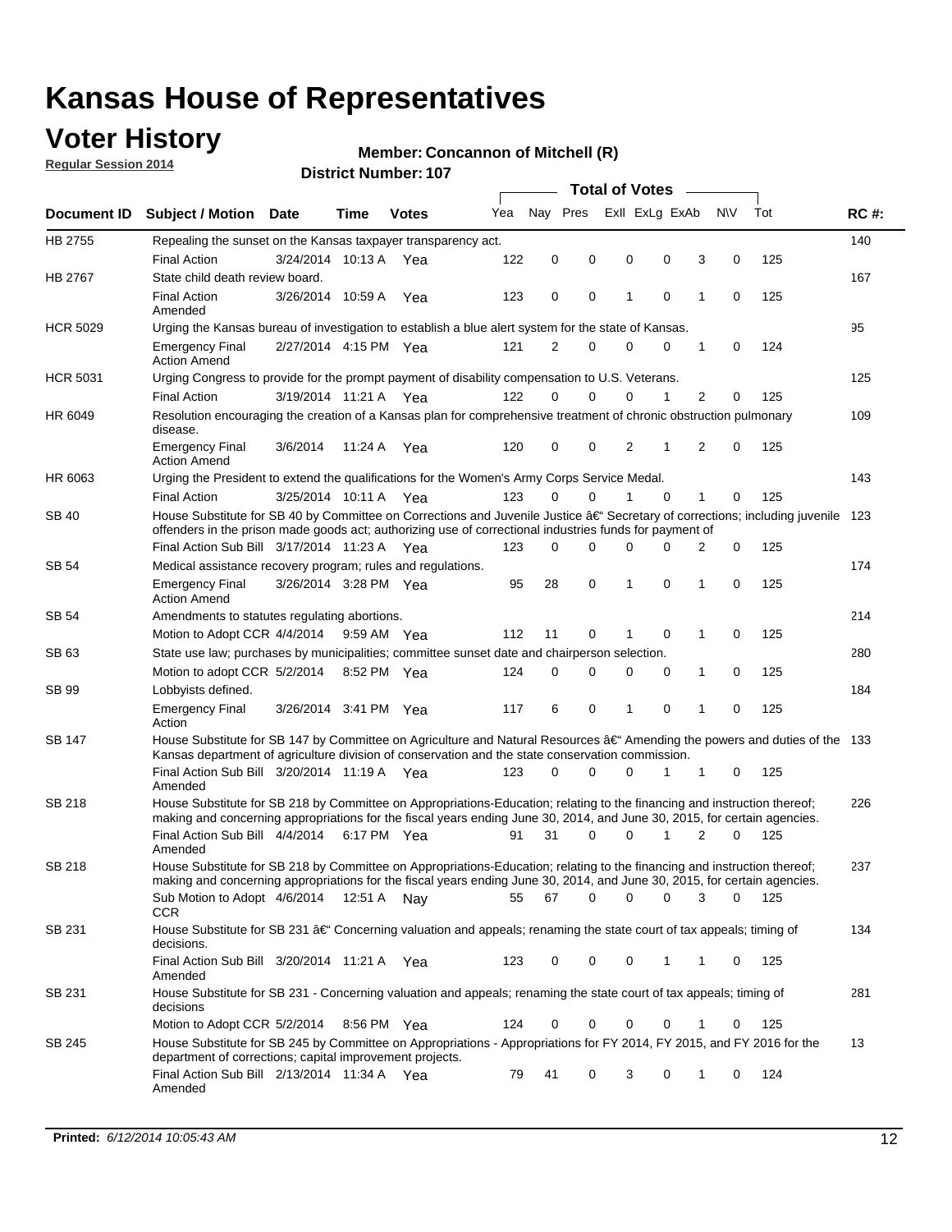## **Voter History**

**Regular Session 2014**

#### **Member: Concannon of Mitchell (R)**

|                    |                                                                                                                                                                                                                                      |                       |             |              |     |          |          | <b>Total of Votes</b> |                |             |                |             |     |             |
|--------------------|--------------------------------------------------------------------------------------------------------------------------------------------------------------------------------------------------------------------------------------|-----------------------|-------------|--------------|-----|----------|----------|-----------------------|----------------|-------------|----------------|-------------|-----|-------------|
| <b>Document ID</b> | <b>Subject / Motion Date</b>                                                                                                                                                                                                         |                       | Time        | <b>Votes</b> | Yea | Nav Pres |          |                       | Exll ExLg ExAb |             | N\V            |             | Tot | <b>RC#:</b> |
| HB 2755            | Repealing the sunset on the Kansas taxpayer transparency act.                                                                                                                                                                        |                       |             |              |     |          |          |                       |                |             |                |             |     | 140         |
|                    | <b>Final Action</b>                                                                                                                                                                                                                  | 3/24/2014 10:13 A     |             | Yea          | 122 | 0        | 0        | 0                     |                | 0           | 3              | 0           | 125 |             |
| HB 2767            | State child death review board.                                                                                                                                                                                                      |                       |             |              |     |          |          |                       |                |             |                |             |     | 167         |
|                    | <b>Final Action</b><br>Amended                                                                                                                                                                                                       | 3/26/2014 10:59 A     |             | Yea          | 123 | 0        | 0        | 1                     |                | $\mathbf 0$ | 1              | 0           | 125 |             |
| <b>HCR 5029</b>    | Urging the Kansas bureau of investigation to establish a blue alert system for the state of Kansas.                                                                                                                                  |                       |             |              |     |          |          |                       |                |             |                |             |     | 95          |
|                    | <b>Emergency Final</b><br><b>Action Amend</b>                                                                                                                                                                                        | 2/27/2014 4:15 PM Yea |             |              | 121 | 2        | 0        | 0                     |                | 0           | 1              | 0           | 124 |             |
| <b>HCR 5031</b>    | Urging Congress to provide for the prompt payment of disability compensation to U.S. Veterans.                                                                                                                                       |                       |             |              |     |          |          |                       |                |             |                |             |     | 125         |
|                    | <b>Final Action</b>                                                                                                                                                                                                                  | 3/19/2014 11:21 A Yea |             |              | 122 | $\Omega$ | $\Omega$ | 0                     |                | 1           | 2              | 0           | 125 |             |
| HR 6049            | Resolution encouraging the creation of a Kansas plan for comprehensive treatment of chronic obstruction pulmonary<br>disease.                                                                                                        |                       |             |              |     |          |          |                       |                |             |                |             |     | 109         |
|                    | <b>Emergency Final</b><br><b>Action Amend</b>                                                                                                                                                                                        | 3/6/2014              | 11:24 A     | Yea          | 120 | 0        | 0        | 2                     |                | 1           | $\overline{2}$ | $\mathbf 0$ | 125 |             |
| HR 6063            | Urging the President to extend the qualifications for the Women's Army Corps Service Medal.                                                                                                                                          |                       |             |              |     |          |          |                       |                |             |                |             |     | 143         |
|                    | <b>Final Action</b>                                                                                                                                                                                                                  | 3/25/2014 10:11 A Yea |             |              | 123 | $\Omega$ | $\Omega$ | 1                     |                | $\Omega$    | 1              | 0           | 125 |             |
| SB 40              | House Substitute for SB 40 by Committee on Corrections and Juvenile Justice †Secretary of corrections; including juvenile<br>offenders in the prison made goods act; authorizing use of correctional industries funds for payment of |                       |             |              |     |          |          |                       |                |             |                |             |     | 123         |
|                    | Final Action Sub Bill 3/17/2014 11:23 A Yea                                                                                                                                                                                          |                       |             |              | 123 | 0        | 0        | 0                     |                | $\Omega$    | 2              | 0           | 125 |             |
| SB 54              | Medical assistance recovery program; rules and regulations.                                                                                                                                                                          |                       |             |              |     |          |          |                       |                |             |                |             |     | 174         |
|                    | <b>Emergency Final</b><br><b>Action Amend</b>                                                                                                                                                                                        | 3/26/2014 3:28 PM Yea |             |              | 95  | 28       | 0        | 1                     |                | 0           | 1              | 0           | 125 |             |
| SB 54              | Amendments to statutes regulating abortions.                                                                                                                                                                                         |                       |             |              |     |          |          |                       |                |             |                |             |     | 214         |
|                    | Motion to Adopt CCR 4/4/2014                                                                                                                                                                                                         |                       | 9:59 AM Yea |              | 112 | 11       | 0        |                       |                | $\mathbf 0$ | 1              | 0           | 125 |             |
| SB 63              | State use law; purchases by municipalities; committee sunset date and chairperson selection.                                                                                                                                         |                       |             |              |     |          |          |                       |                |             |                |             |     | 280         |
|                    | Motion to adopt CCR 5/2/2014                                                                                                                                                                                                         |                       |             | 8:52 PM Yea  | 124 | 0        | 0        | 0                     |                | 0           | 1              | 0           | 125 |             |
| SB 99              | Lobbyists defined.                                                                                                                                                                                                                   |                       |             |              |     |          |          |                       |                |             |                |             |     | 184         |
|                    | <b>Emergency Final</b><br>Action                                                                                                                                                                                                     | 3/26/2014 3:41 PM Yea |             |              | 117 | 6        | 0        | 1                     |                | 0           | 1              | 0           | 125 |             |
| SB 147             | House Substitute for SB 147 by Committee on Agriculture and Natural Resources †Amending the powers and duties of the 133<br>Kansas department of agriculture division of conservation and the state conservation commission.         |                       |             |              |     |          |          |                       |                |             |                |             |     |             |
|                    | Final Action Sub Bill 3/20/2014 11:19 A Yea<br>Amended                                                                                                                                                                               |                       |             |              | 123 | 0        | $\Omega$ | 0                     |                | 1           | 1              | 0           | 125 |             |
| SB 218             | House Substitute for SB 218 by Committee on Appropriations-Education; relating to the financing and instruction thereof;                                                                                                             |                       |             |              |     |          |          |                       |                |             |                |             |     | 226         |
|                    | making and concerning appropriations for the fiscal years ending June 30, 2014, and June 30, 2015, for certain agencies.<br>Final Action Sub Bill 4/4/2014                                                                           |                       |             | 6:17 PM Yea  | 91  | 31       | $\Omega$ | 0                     |                | 1           | $\overline{2}$ | $\Omega$    | 125 |             |
|                    | Amended                                                                                                                                                                                                                              |                       |             |              |     |          |          |                       |                |             |                |             |     |             |
| SB 218             | House Substitute for SB 218 by Committee on Appropriations-Education; relating to the financing and instruction thereof;                                                                                                             |                       |             |              |     |          |          |                       |                |             |                |             |     | 237         |
|                    | making and concerning appropriations for the fiscal years ending June 30, 2014, and June 30, 2015, for certain agencies.                                                                                                             |                       |             |              |     |          |          |                       |                |             |                |             |     |             |
|                    | Sub Motion to Adopt 4/6/2014 12:51 A Nay<br><b>CCR</b>                                                                                                                                                                               |                       |             |              | 55  | 67       | 0        | 0                     |                | 0           | 3              | 0           | 125 |             |
| SB 231             | House Substitute for SB 231 †Concerning valuation and appeals; renaming the state court of tax appeals; timing of<br>decisions.                                                                                                      |                       |             |              |     |          |          |                       |                |             |                |             |     | 134         |
|                    | Final Action Sub Bill 3/20/2014 11:21 A Yea<br>Amended                                                                                                                                                                               |                       |             |              | 123 | 0        | 0        | 0                     |                | 1           | 1              | 0           | 125 |             |
| SB 231             | House Substitute for SB 231 - Concerning valuation and appeals; renaming the state court of tax appeals; timing of<br>decisions                                                                                                      |                       |             |              |     |          |          |                       |                |             |                |             |     | 281         |
|                    | Motion to Adopt CCR 5/2/2014                                                                                                                                                                                                         |                       |             | 8:56 PM Yea  | 124 | 0        | 0        | 0                     |                | $\mathbf 0$ | 1              | 0           | 125 |             |
| SB 245             | House Substitute for SB 245 by Committee on Appropriations - Appropriations for FY 2014, FY 2015, and FY 2016 for the<br>department of corrections; capital improvement projects.                                                    |                       |             |              |     |          |          |                       |                |             |                |             |     | 13          |
|                    | Final Action Sub Bill 2/13/2014 11:34 A Yea<br>Amended                                                                                                                                                                               |                       |             |              | 79  | 41       | 0        | 3                     |                | 0           | 1              | 0           | 124 |             |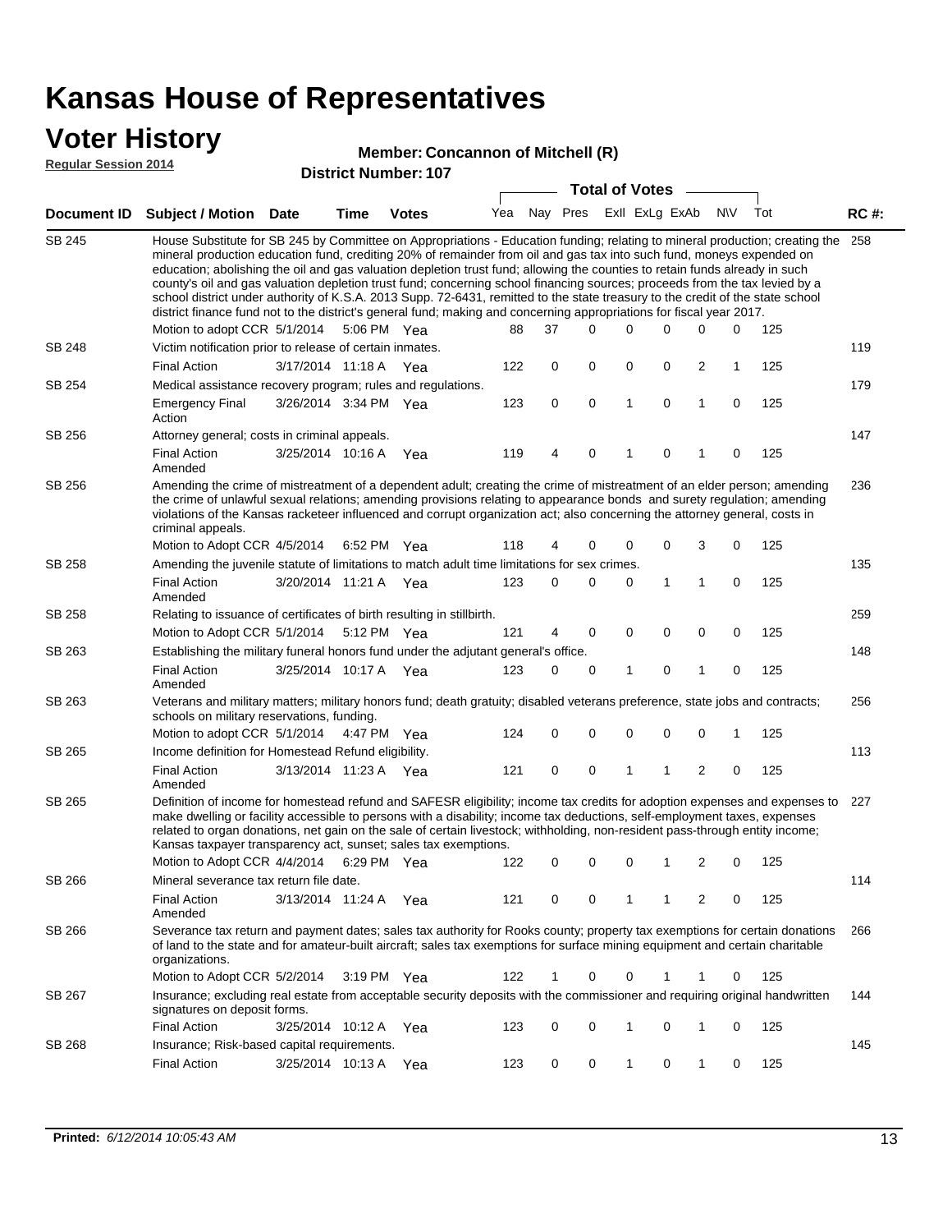### **Voter History**

#### **Member: Concannon of Mitchell (R)**

**Regular Session 2014**

| <b>District Number: 107</b> |  |
|-----------------------------|--|

|               |                                                                                                                                                                                                                                                                                                                                                                                                                                                                                                                                                                                                                                                                                                                                                                                                               |                       |             | ועו. ושעווווער ועו ווסוש |     |    | <b>Total of Votes</b>       |              |   |             |     |     |             |
|---------------|---------------------------------------------------------------------------------------------------------------------------------------------------------------------------------------------------------------------------------------------------------------------------------------------------------------------------------------------------------------------------------------------------------------------------------------------------------------------------------------------------------------------------------------------------------------------------------------------------------------------------------------------------------------------------------------------------------------------------------------------------------------------------------------------------------------|-----------------------|-------------|--------------------------|-----|----|-----------------------------|--------------|---|-------------|-----|-----|-------------|
| Document ID   | <b>Subject / Motion Date</b>                                                                                                                                                                                                                                                                                                                                                                                                                                                                                                                                                                                                                                                                                                                                                                                  |                       | <b>Time</b> | <b>Votes</b>             |     |    | Yea Nay Pres ExII ExLg ExAb |              |   |             | N\V | Tot | <b>RC#:</b> |
| <b>SB 245</b> | House Substitute for SB 245 by Committee on Appropriations - Education funding; relating to mineral production; creating the<br>mineral production education fund, crediting 20% of remainder from oil and gas tax into such fund, moneys expended on<br>education; abolishing the oil and gas valuation depletion trust fund; allowing the counties to retain funds already in such<br>county's oil and gas valuation depletion trust fund; concerning school financing sources; proceeds from the tax levied by a<br>school district under authority of K.S.A. 2013 Supp. 72-6431, remitted to the state treasury to the credit of the state school<br>district finance fund not to the district's general fund; making and concerning appropriations for fiscal year 2017.<br>Motion to adopt CCR 5/1/2014 |                       |             | 5:06 PM Yea              | 88  | 37 | $\Omega$                    | $\Omega$     | 0 | 0           | 0   | 125 | 258         |
| <b>SB 248</b> | Victim notification prior to release of certain inmates.                                                                                                                                                                                                                                                                                                                                                                                                                                                                                                                                                                                                                                                                                                                                                      |                       |             |                          |     |    |                             |              |   |             |     |     | 119         |
|               | <b>Final Action</b>                                                                                                                                                                                                                                                                                                                                                                                                                                                                                                                                                                                                                                                                                                                                                                                           | 3/17/2014 11:18 A     |             | Yea                      | 122 | 0  | 0                           | 0            | 0 | 2           | 1   | 125 |             |
| SB 254        | Medical assistance recovery program; rules and regulations.                                                                                                                                                                                                                                                                                                                                                                                                                                                                                                                                                                                                                                                                                                                                                   |                       |             |                          |     |    |                             |              |   |             |     |     | 179         |
|               | <b>Emergency Final</b><br>Action                                                                                                                                                                                                                                                                                                                                                                                                                                                                                                                                                                                                                                                                                                                                                                              | 3/26/2014 3:34 PM Yea |             |                          | 123 | 0  | $\mathbf 0$                 | $\mathbf{1}$ | 0 | 1           | 0   | 125 |             |
| SB 256        | Attorney general; costs in criminal appeals.                                                                                                                                                                                                                                                                                                                                                                                                                                                                                                                                                                                                                                                                                                                                                                  |                       |             |                          |     |    |                             |              |   |             |     |     | 147         |
|               | <b>Final Action</b><br>Amended                                                                                                                                                                                                                                                                                                                                                                                                                                                                                                                                                                                                                                                                                                                                                                                | 3/25/2014 10:16 A     |             | Yea                      | 119 | 4  | 0                           | 1            | 0 |             | 0   | 125 |             |
| SB 256        | Amending the crime of mistreatment of a dependent adult; creating the crime of mistreatment of an elder person; amending<br>the crime of unlawful sexual relations; amending provisions relating to appearance bonds and surety regulation; amending<br>violations of the Kansas racketeer influenced and corrupt organization act; also concerning the attorney general, costs in<br>criminal appeals.                                                                                                                                                                                                                                                                                                                                                                                                       |                       |             |                          |     |    |                             |              |   |             |     |     | 236         |
|               | Motion to Adopt CCR 4/5/2014                                                                                                                                                                                                                                                                                                                                                                                                                                                                                                                                                                                                                                                                                                                                                                                  |                       | 6:52 PM Yea |                          | 118 | 4  | 0                           | 0            | 0 | 3           | 0   | 125 |             |
| SB 258        | Amending the juvenile statute of limitations to match adult time limitations for sex crimes.<br><b>Final Action</b>                                                                                                                                                                                                                                                                                                                                                                                                                                                                                                                                                                                                                                                                                           | 3/20/2014 11:21 A Yea |             |                          | 123 | 0  | 0                           | 0            | 1 | 1           | 0   | 125 | 135         |
| SB 258        | Amended<br>Relating to issuance of certificates of birth resulting in stillbirth.                                                                                                                                                                                                                                                                                                                                                                                                                                                                                                                                                                                                                                                                                                                             |                       |             |                          |     |    |                             |              |   |             |     |     | 259         |
|               | Motion to Adopt CCR 5/1/2014                                                                                                                                                                                                                                                                                                                                                                                                                                                                                                                                                                                                                                                                                                                                                                                  |                       | 5:12 PM Yea |                          | 121 | 4  | 0                           | 0            | 0 | $\mathbf 0$ | 0   | 125 |             |
| SB 263        | Establishing the military funeral honors fund under the adjutant general's office.                                                                                                                                                                                                                                                                                                                                                                                                                                                                                                                                                                                                                                                                                                                            |                       |             |                          |     |    |                             |              |   |             |     |     | 148         |
|               | <b>Final Action</b><br>Amended                                                                                                                                                                                                                                                                                                                                                                                                                                                                                                                                                                                                                                                                                                                                                                                | 3/25/2014 10:17 A Yea |             |                          | 123 | 0  | 0                           | 1            | 0 | 1           | 0   | 125 |             |
| SB 263        | Veterans and military matters; military honors fund; death gratuity; disabled veterans preference, state jobs and contracts;<br>schools on military reservations, funding.                                                                                                                                                                                                                                                                                                                                                                                                                                                                                                                                                                                                                                    |                       |             |                          |     |    |                             |              |   |             |     |     | 256         |
|               | Motion to adopt CCR 5/1/2014 4:47 PM Yea                                                                                                                                                                                                                                                                                                                                                                                                                                                                                                                                                                                                                                                                                                                                                                      |                       |             |                          | 124 | 0  | 0                           | 0            | 0 | 0           | 1   | 125 |             |
| SB 265        | Income definition for Homestead Refund eligibility.                                                                                                                                                                                                                                                                                                                                                                                                                                                                                                                                                                                                                                                                                                                                                           |                       |             |                          |     |    |                             |              |   |             |     |     | 113         |
|               | <b>Final Action</b><br>Amended                                                                                                                                                                                                                                                                                                                                                                                                                                                                                                                                                                                                                                                                                                                                                                                | 3/13/2014 11:23 A Yea |             |                          | 121 | 0  | 0                           | 1            | 1 | 2           | 0   | 125 |             |
| SB 265        | Definition of income for homestead refund and SAFESR eligibility; income tax credits for adoption expenses and expenses to<br>make dwelling or facility accessible to persons with a disability; income tax deductions, self-employment taxes, expenses<br>related to organ donations, net gain on the sale of certain livestock; withholding, non-resident pass-through entity income;<br>Kansas taxpayer transparency act, sunset; sales tax exemptions.                                                                                                                                                                                                                                                                                                                                                    |                       |             |                          |     |    |                             |              |   |             |     |     | 227         |
|               | Motion to Adopt CCR 4/4/2014 6:29 PM Yea                                                                                                                                                                                                                                                                                                                                                                                                                                                                                                                                                                                                                                                                                                                                                                      |                       |             |                          | 122 | 0  | 0                           | 0            | 1 | 2           | 0   | 125 |             |
| SB 266        | Mineral severance tax return file date.                                                                                                                                                                                                                                                                                                                                                                                                                                                                                                                                                                                                                                                                                                                                                                       |                       |             |                          |     |    |                             |              |   |             |     |     | 114         |
|               | <b>Final Action</b><br>Amended                                                                                                                                                                                                                                                                                                                                                                                                                                                                                                                                                                                                                                                                                                                                                                                | 3/13/2014 11:24 A     |             | Yea                      | 121 | 0  | 0                           | 1            | 1 | 2           | 0   | 125 |             |
| SB 266        | Severance tax return and payment dates; sales tax authority for Rooks county; property tax exemptions for certain donations<br>of land to the state and for amateur-built aircraft; sales tax exemptions for surface mining equipment and certain charitable<br>organizations.                                                                                                                                                                                                                                                                                                                                                                                                                                                                                                                                |                       |             |                          |     |    |                             |              |   |             |     |     | 266         |
|               | Motion to Adopt CCR 5/2/2014                                                                                                                                                                                                                                                                                                                                                                                                                                                                                                                                                                                                                                                                                                                                                                                  |                       |             | $3:19 \text{ PM}$ Yea    | 122 | 1  | 0                           | 0            |   |             | 0   | 125 |             |
| SB 267        | Insurance; excluding real estate from acceptable security deposits with the commissioner and requiring original handwritten<br>signatures on deposit forms.                                                                                                                                                                                                                                                                                                                                                                                                                                                                                                                                                                                                                                                   |                       |             |                          |     |    |                             |              |   |             |     |     | 144         |
|               | <b>Final Action</b>                                                                                                                                                                                                                                                                                                                                                                                                                                                                                                                                                                                                                                                                                                                                                                                           | 3/25/2014 10:12 A     |             | Yea                      | 123 | 0  | 0                           | 1            | 0 | 1           | 0   | 125 |             |
| SB 268        | Insurance; Risk-based capital requirements.                                                                                                                                                                                                                                                                                                                                                                                                                                                                                                                                                                                                                                                                                                                                                                   |                       |             |                          |     |    |                             |              |   |             |     |     | 145         |
|               | <b>Final Action</b>                                                                                                                                                                                                                                                                                                                                                                                                                                                                                                                                                                                                                                                                                                                                                                                           | 3/25/2014 10:13 A     |             | Yea                      | 123 | 0  | 0                           | 1            | 0 | 1           | 0   | 125 |             |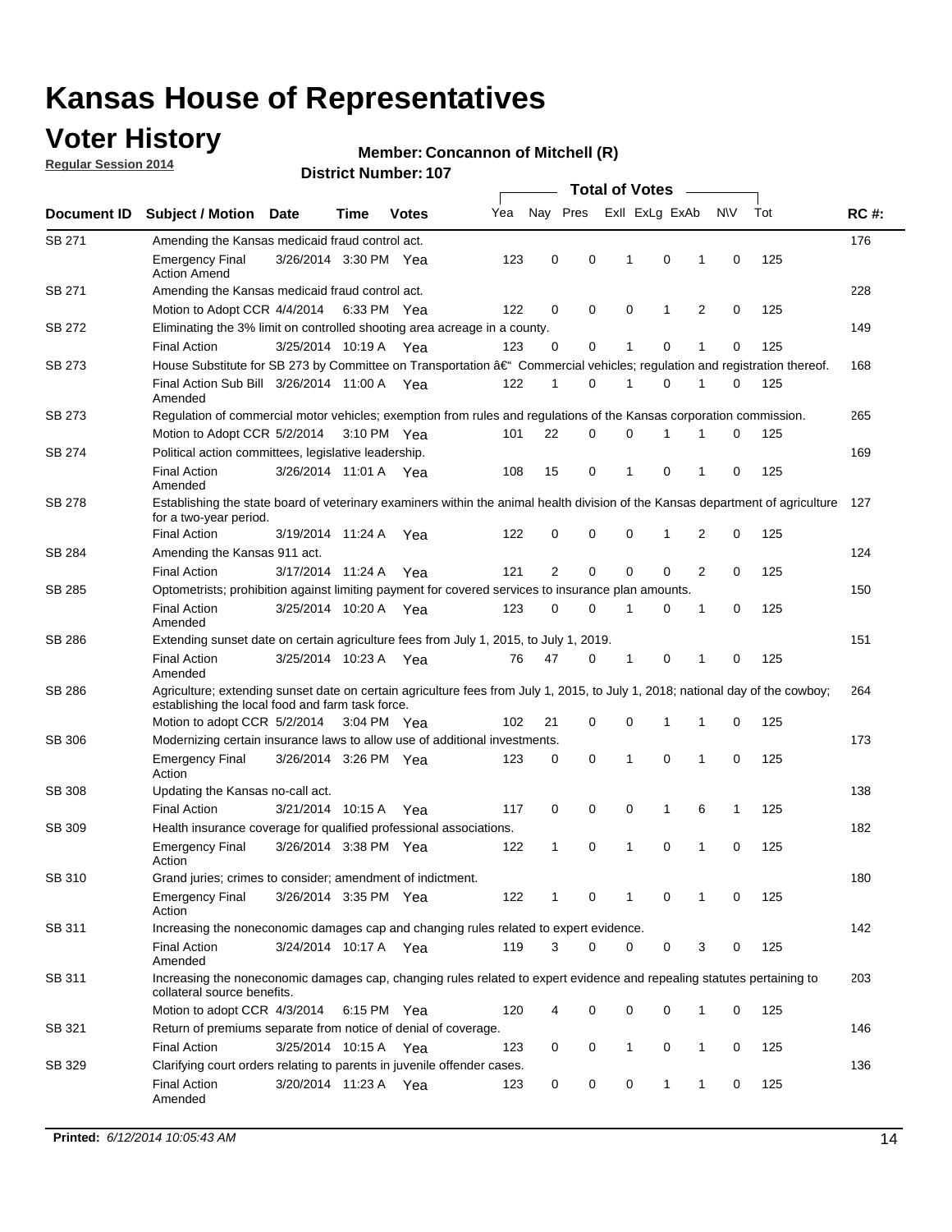## **Voter History**

**Regular Session 2014**

#### **Member: Concannon of Mitchell (R)**

|               |                                                                                                                                                                                    |                       |      |              |     |              |             | <b>Total of Votes</b> |   |                |   |             |     |             |
|---------------|------------------------------------------------------------------------------------------------------------------------------------------------------------------------------------|-----------------------|------|--------------|-----|--------------|-------------|-----------------------|---|----------------|---|-------------|-----|-------------|
| Document ID   | <b>Subject / Motion Date</b>                                                                                                                                                       |                       | Time | <b>Votes</b> | Yea |              | Nay Pres    |                       |   | Exll ExLg ExAb |   | N\V         | Tot | <b>RC#:</b> |
| SB 271        | Amending the Kansas medicaid fraud control act.                                                                                                                                    |                       |      |              |     |              |             |                       |   |                |   |             |     | 176         |
|               | <b>Emergency Final</b><br><b>Action Amend</b>                                                                                                                                      | 3/26/2014 3:30 PM Yea |      |              | 123 | 0            | 0           | -1                    |   | 0              | 1 | 0           | 125 |             |
| SB 271        | Amending the Kansas medicaid fraud control act.                                                                                                                                    |                       |      |              |     |              |             |                       |   |                |   |             |     | 228         |
|               | Motion to Adopt CCR 4/4/2014 6:33 PM Yea                                                                                                                                           |                       |      |              | 122 | 0            | 0           | 0                     |   | 1              | 2 | 0           | 125 |             |
| SB 272        | Eliminating the 3% limit on controlled shooting area acreage in a county.                                                                                                          |                       |      |              |     |              |             |                       |   |                |   |             |     | 149         |
|               | <b>Final Action</b>                                                                                                                                                                | 3/25/2014 10:19 A Yea |      |              | 123 | 0            | 0           | 1                     |   | 0              | 1 | 0           | 125 |             |
| SB 273        | House Substitute for SB 273 by Committee on Transportation †Commercial vehicles; regulation and registration thereof.                                                              |                       |      |              |     |              |             |                       |   |                |   |             |     | 168         |
|               | Final Action Sub Bill 3/26/2014 11:00 A Yea<br>Amended                                                                                                                             |                       |      |              | 122 | 1            | 0           | 1                     |   | 0              | 1 | 0           | 125 |             |
| SB 273        | Regulation of commercial motor vehicles; exemption from rules and regulations of the Kansas corporation commission.                                                                |                       |      |              |     |              |             |                       |   |                |   |             |     | 265         |
|               | Motion to Adopt CCR 5/2/2014 3:10 PM Yea                                                                                                                                           |                       |      |              | 101 | 22           | 0           | 0                     |   | 1              | 1 | 0           | 125 |             |
| SB 274        | Political action committees, legislative leadership.                                                                                                                               |                       |      |              |     |              |             |                       |   |                |   |             |     | 169         |
|               | <b>Final Action</b><br>Amended                                                                                                                                                     | 3/26/2014 11:01 A Yea |      |              | 108 | 15           | 0           | $\mathbf{1}$          |   | $\mathbf 0$    | 1 | 0           | 125 |             |
| <b>SB 278</b> | Establishing the state board of veterinary examiners within the animal health division of the Kansas department of agriculture<br>for a two-year period.                           |                       |      |              |     |              |             |                       |   |                |   |             |     | 127         |
|               | <b>Final Action</b>                                                                                                                                                                | 3/19/2014 11:24 A     |      | Yea          | 122 | 0            | 0           | 0                     |   | 1              | 2 | 0           | 125 |             |
| SB 284        | Amending the Kansas 911 act.                                                                                                                                                       |                       |      |              |     |              |             |                       |   |                |   |             |     | 124         |
|               | <b>Final Action</b>                                                                                                                                                                | 3/17/2014 11:24 A     |      | Yea          | 121 | 2            | $\mathbf 0$ | $\mathbf 0$           |   | $\mathbf 0$    | 2 | 0           | 125 |             |
| SB 285        | Optometrists; prohibition against limiting payment for covered services to insurance plan amounts.                                                                                 |                       |      |              |     |              |             |                       |   |                |   |             |     | 150         |
|               | <b>Final Action</b><br>Amended                                                                                                                                                     | 3/25/2014 10:20 A Yea |      |              | 123 | 0            | 0           | $\mathbf{1}$          |   | 0              | 1 | $\mathbf 0$ | 125 |             |
| SB 286        | Extending sunset date on certain agriculture fees from July 1, 2015, to July 1, 2019.                                                                                              |                       |      |              |     |              |             |                       |   |                |   |             |     | 151         |
|               | <b>Final Action</b><br>Amended                                                                                                                                                     | 3/25/2014 10:23 A Yea |      |              | 76  | 47           | 0           | -1                    |   | 0              | 1 | 0           | 125 |             |
| SB 286        | Agriculture; extending sunset date on certain agriculture fees from July 1, 2015, to July 1, 2018; national day of the cowboy;<br>establishing the local food and farm task force. |                       |      |              |     |              |             |                       |   |                |   |             |     | 264         |
|               | Motion to adopt CCR 5/2/2014 3:04 PM Yea                                                                                                                                           |                       |      |              | 102 | 21           | 0           | 0                     |   | 1              | 1 | 0           | 125 |             |
| <b>SB 306</b> | Modernizing certain insurance laws to allow use of additional investments.                                                                                                         |                       |      |              |     |              |             |                       |   |                |   |             |     | 173         |
|               | <b>Emergency Final</b><br>Action                                                                                                                                                   | 3/26/2014 3:26 PM Yea |      |              | 123 | 0            | 0           | 1                     |   | 0              | 1 | 0           | 125 |             |
| <b>SB 308</b> | Updating the Kansas no-call act.                                                                                                                                                   |                       |      |              |     |              |             |                       |   |                |   |             |     | 138         |
|               | <b>Final Action</b>                                                                                                                                                                | 3/21/2014 10:15 A     |      | Yea          | 117 | 0            | 0           | 0                     |   | $\mathbf{1}$   | 6 | 1           | 125 |             |
| SB 309        | Health insurance coverage for qualified professional associations.                                                                                                                 |                       |      |              |     |              |             |                       |   |                |   |             |     | 182         |
|               | <b>Emergency Final</b><br>Action                                                                                                                                                   | 3/26/2014 3:38 PM Yea |      |              | 122 | $\mathbf{1}$ | 0           | 1                     |   | 0              | 1 | $\mathbf 0$ | 125 |             |
| SB 310        | Grand juries; crimes to consider; amendment of indictment.                                                                                                                         |                       |      |              |     |              |             |                       |   |                |   |             |     | 180         |
|               | <b>Emergency Final</b><br>Action                                                                                                                                                   | 3/26/2014 3:35 PM Yea |      |              | 122 | 1            | 0           | 1                     |   | 0              | 1 | 0           | 125 |             |
| SB 311        | Increasing the noneconomic damages cap and changing rules related to expert evidence.                                                                                              |                       |      |              |     |              |             |                       |   |                |   |             |     | 142         |
|               | <b>Final Action</b><br>Amended                                                                                                                                                     | 3/24/2014 10:17 A Yea |      |              | 119 | 3            | $\Omega$    |                       | 0 | 0              | 3 | 0           | 125 |             |
| SB 311        | Increasing the noneconomic damages cap, changing rules related to expert evidence and repealing statutes pertaining to<br>collateral source benefits.                              |                       |      |              |     |              |             |                       |   |                |   |             |     | 203         |
|               | Motion to adopt CCR 4/3/2014 6:15 PM Yea                                                                                                                                           |                       |      |              | 120 |              | 0           |                       | 0 | 0              | 1 | 0           | 125 |             |
| SB 321        | Return of premiums separate from notice of denial of coverage.                                                                                                                     |                       |      |              |     |              |             |                       |   |                |   |             |     | 146         |
|               | <b>Final Action</b>                                                                                                                                                                | 3/25/2014 10:15 A Yea |      |              | 123 | 0            | 0           | $\mathbf{1}$          |   | 0              | 1 | 0           | 125 |             |
| SB 329        | Clarifying court orders relating to parents in juvenile offender cases.<br><b>Final Action</b>                                                                                     | 3/20/2014 11:23 A Yea |      |              | 123 | 0            | 0           | 0                     |   | 1              | 1 | 0           | 125 | 136         |
|               | Amended                                                                                                                                                                            |                       |      |              |     |              |             |                       |   |                |   |             |     |             |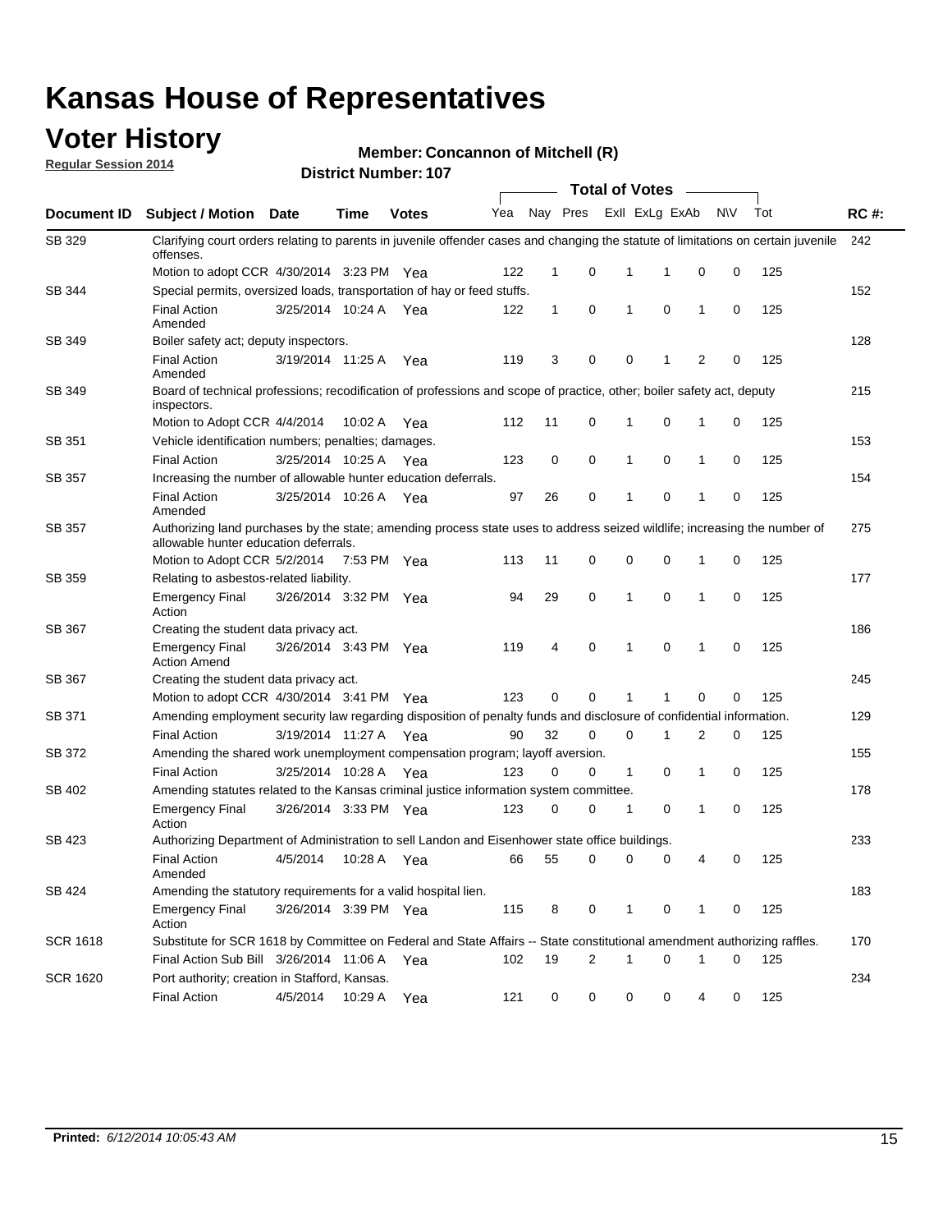### **Voter History**

**Regular Session 2014**

#### **Member: Concannon of Mitchell (R)**

|                 |                                                                                                                                                                    |                       |             |              |     |              |   |              | <b>Total of Votes</b> |              |           |     |             |
|-----------------|--------------------------------------------------------------------------------------------------------------------------------------------------------------------|-----------------------|-------------|--------------|-----|--------------|---|--------------|-----------------------|--------------|-----------|-----|-------------|
|                 | Document ID Subject / Motion Date                                                                                                                                  |                       | Time        | <b>Votes</b> | Yea | Nay Pres     |   |              | Exll ExLg ExAb        |              | <b>NV</b> | Tot | <b>RC#:</b> |
| SB 329          | Clarifying court orders relating to parents in juvenile offender cases and changing the statute of limitations on certain juvenile<br>offenses.                    |                       |             |              |     |              |   |              |                       |              |           |     | 242         |
|                 | Motion to adopt CCR 4/30/2014 3:23 PM Yea                                                                                                                          |                       |             |              | 122 | $\mathbf 1$  | 0 | 1            | -1                    | 0            | 0         | 125 |             |
| SB 344          | Special permits, oversized loads, transportation of hay or feed stuffs.                                                                                            |                       |             |              |     |              |   |              |                       |              |           |     | 152         |
|                 | <b>Final Action</b><br>Amended                                                                                                                                     | 3/25/2014 10:24 A     |             | Yea          | 122 | $\mathbf{1}$ | 0 | $\mathbf{1}$ | 0                     | $\mathbf{1}$ | 0         | 125 |             |
| <b>SB 349</b>   | Boiler safety act; deputy inspectors.                                                                                                                              |                       |             |              |     |              |   |              |                       |              |           |     | 128         |
|                 | <b>Final Action</b><br>Amended                                                                                                                                     | 3/19/2014 11:25 A     |             | Yea          | 119 | 3            | 0 | 0            | 1                     | 2            | 0         | 125 |             |
| SB 349          | Board of technical professions; recodification of professions and scope of practice, other; boiler safety act, deputy<br>inspectors.                               |                       |             |              |     |              |   |              |                       |              |           |     | 215         |
|                 | Motion to Adopt CCR 4/4/2014                                                                                                                                       |                       | 10:02 A     | Yea          | 112 | 11           | 0 | 1            | 0                     | 1            | 0         | 125 |             |
| SB 351          | Vehicle identification numbers; penalties; damages.                                                                                                                |                       |             |              |     |              |   |              |                       |              |           |     | 153         |
|                 | <b>Final Action</b>                                                                                                                                                | 3/25/2014 10:25 A     |             | Yea          | 123 | 0            | 0 | 1            | 0                     | 1            | 0         | 125 |             |
| SB 357          | Increasing the number of allowable hunter education deferrals.                                                                                                     |                       |             |              |     |              |   |              |                       |              |           |     | 154         |
|                 | <b>Final Action</b><br>Amended                                                                                                                                     | 3/25/2014 10:26 A     |             | Yea          | 97  | 26           | 0 | $\mathbf{1}$ | 0                     | 1            | 0         | 125 |             |
| SB 357          | Authorizing land purchases by the state; amending process state uses to address seized wildlife; increasing the number of<br>allowable hunter education deferrals. |                       |             |              |     |              |   |              | 275                   |              |           |     |             |
|                 | Motion to Adopt CCR 5/2/2014                                                                                                                                       |                       | 7:53 PM Yea |              | 113 | 11           | 0 | 0            | $\mathbf 0$           | 1            | 0         | 125 |             |
| SB 359          | Relating to asbestos-related liability.                                                                                                                            |                       |             |              |     |              |   |              |                       |              |           |     | 177         |
|                 | <b>Emergency Final</b><br>Action                                                                                                                                   | 3/26/2014 3:32 PM Yea |             |              | 94  | 29           | 0 | 1            | $\Omega$              | 1            | 0         | 125 |             |
| <b>SB 367</b>   | Creating the student data privacy act.                                                                                                                             |                       |             |              |     |              |   |              |                       |              |           |     | 186         |
|                 | <b>Emergency Final</b><br><b>Action Amend</b>                                                                                                                      | 3/26/2014 3:43 PM Yea |             |              | 119 | 4            | 0 | $\mathbf{1}$ | 0                     | 1            | 0         | 125 |             |
| SB 367          | Creating the student data privacy act.                                                                                                                             |                       |             |              |     |              |   |              |                       |              |           |     | 245         |
|                 | Motion to adopt CCR 4/30/2014 3:41 PM Yea                                                                                                                          |                       |             |              | 123 | 0            | 0 | 1            | 1                     | 0            | 0         | 125 |             |
| SB 371          | Amending employment security law regarding disposition of penalty funds and disclosure of confidential information.                                                |                       |             |              |     |              |   |              |                       |              |           |     | 129         |
|                 | <b>Final Action</b>                                                                                                                                                | 3/19/2014 11:27 A     |             | Yea          | 90  | 32           | 0 | $\mathbf 0$  | 1                     | 2            | 0         | 125 |             |
| SB 372          | Amending the shared work unemployment compensation program; layoff aversion.                                                                                       |                       |             |              |     |              |   |              |                       |              |           |     | 155         |
|                 | <b>Final Action</b>                                                                                                                                                | 3/25/2014 10:28 A     |             | Yea          | 123 | 0            | 0 | 1            | 0                     | 1            | 0         | 125 |             |
| SB 402          | Amending statutes related to the Kansas criminal justice information system committee.                                                                             |                       |             |              |     |              |   |              |                       |              |           |     | 178         |
|                 | <b>Emergency Final</b><br>Action                                                                                                                                   | 3/26/2014 3:33 PM Yea |             |              | 123 | 0            | 0 | 1            | 0                     | $\mathbf{1}$ | 0         | 125 |             |
| SB 423          | Authorizing Department of Administration to sell Landon and Eisenhower state office buildings.                                                                     |                       |             |              |     |              |   |              |                       |              |           |     | 233         |
|                 | <b>Final Action</b><br>Amended                                                                                                                                     | 4/5/2014              | 10:28 A     | Yea          | 66  | 55           | 0 | 0            | 0                     | 4            | 0         | 125 |             |
| SB 424          | Amending the statutory requirements for a valid hospital lien.                                                                                                     |                       |             |              |     |              |   |              |                       |              |           |     | 183         |
|                 | <b>Emergency Final</b><br>Action                                                                                                                                   | 3/26/2014 3:39 PM Yea |             |              | 115 | 8            | 0 | 1            | 0                     | 1            | 0         | 125 |             |
| <b>SCR 1618</b> | Substitute for SCR 1618 by Committee on Federal and State Affairs -- State constitutional amendment authorizing raffles.                                           |                       |             |              |     |              |   |              |                       |              |           |     | 170         |
|                 | Final Action Sub Bill 3/26/2014 11:06 A Yea                                                                                                                        |                       |             |              | 102 | 19           | 2 | 1            | 0                     | 1            | 0         | 125 |             |
| <b>SCR 1620</b> | Port authority; creation in Stafford, Kansas.                                                                                                                      |                       |             |              |     |              |   |              |                       |              |           |     | 234         |
|                 | <b>Final Action</b>                                                                                                                                                | 4/5/2014              | 10:29 A     | Yea          | 121 | 0            | 0 | 0            | 0                     | 4            | 0         | 125 |             |